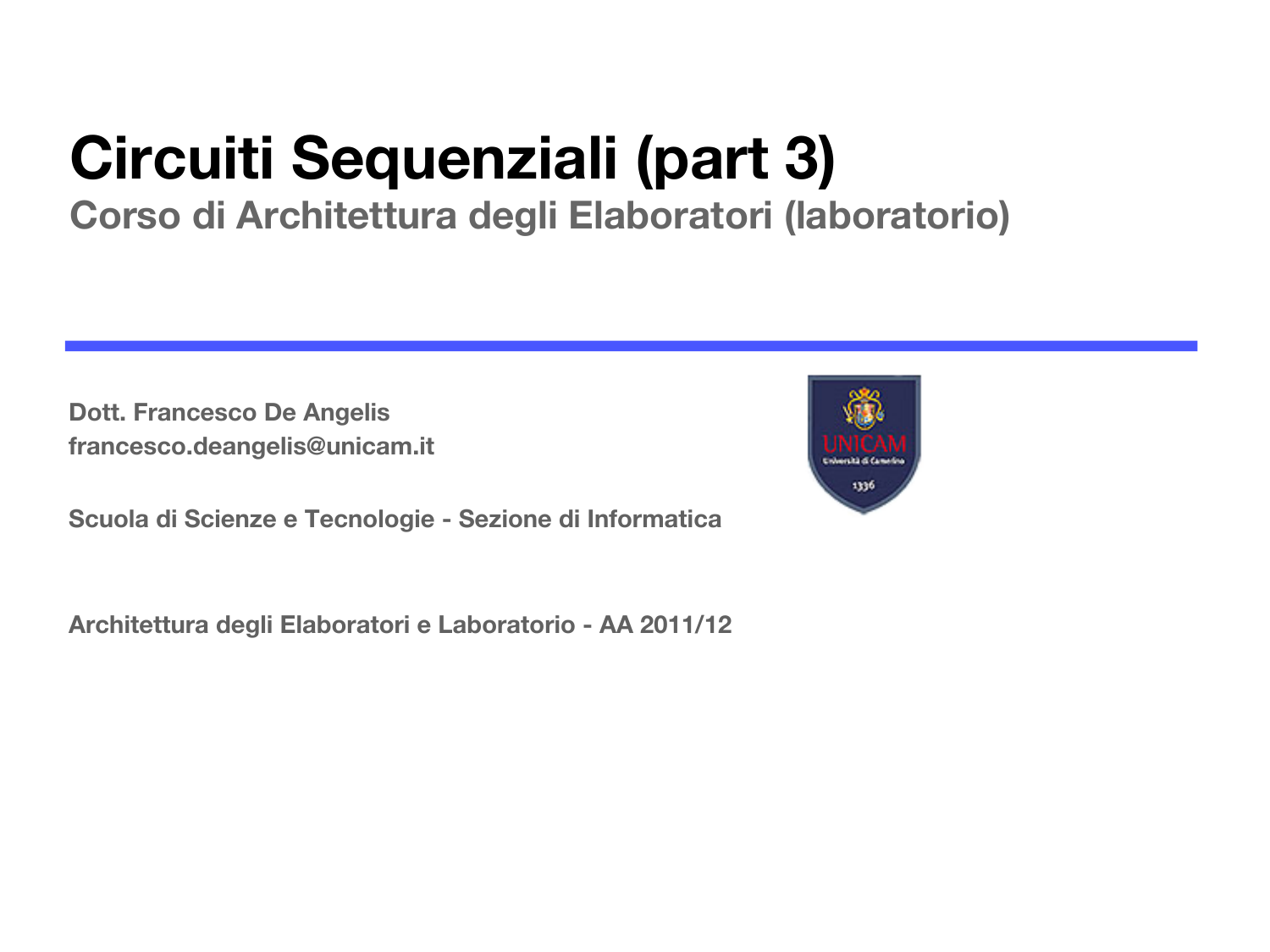# **Circuiti Sequenziali (part 3)**

#### **Corso di Architettura degli Elaboratori (laboratorio)**

**Dott. Francesco De Angelis francesco.deangelis@unicam.it**



**Scuola di Scienze e Tecnologie - Sezione di Informatica**

**Architettura degli Elaboratori e Laboratorio - AA 2011/12**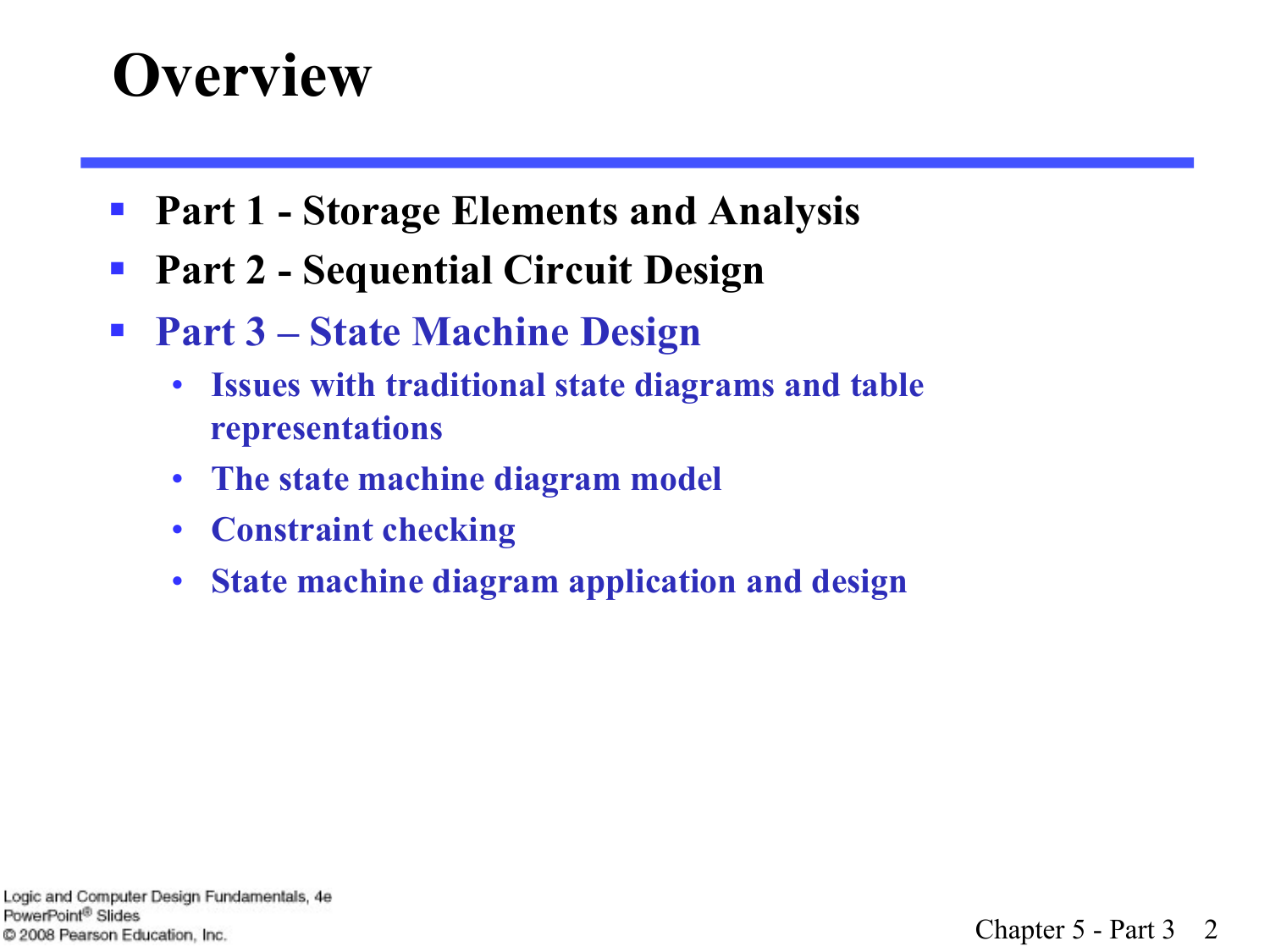#### **Overview**

- Part 1 Storage Elements and Analysis
- Part 2 Sequential Circuit Design
- § **Part 3 State Machine Design** 
	- **Issues with traditional state diagrams and table representations**
	- **The state machine diagram model**
	- **Constraint checking**
	- **State machine diagram application and design**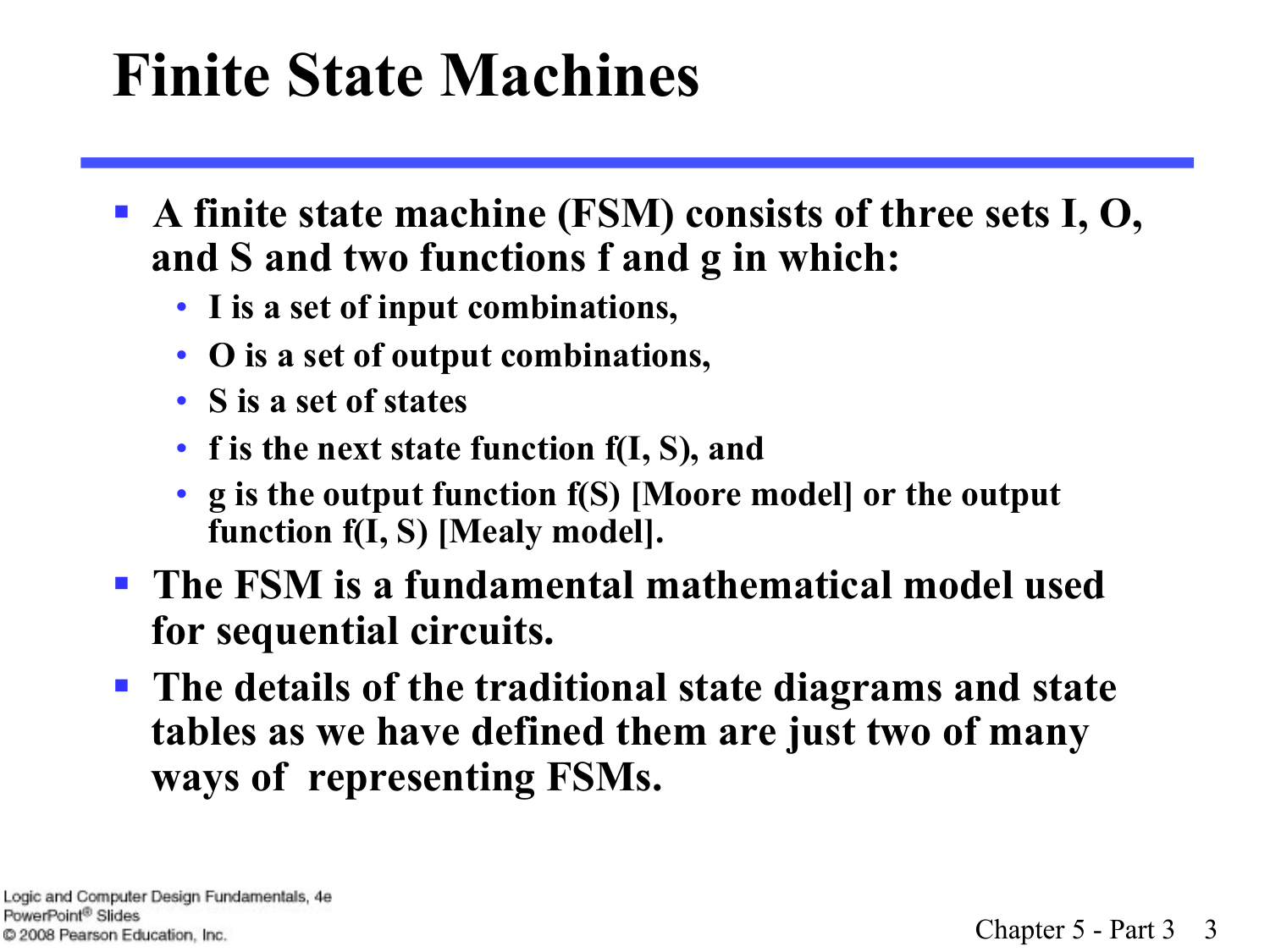# **Finite State Machines**

- § **A finite state machine (FSM) consists of three sets I, O, and S and two functions f and g in which:** 
	- **I is a set of input combinations,**
	- **O is a set of output combinations,**
	- **S is a set of states**
	- **f is the next state function f(I, S), and**
	- **g is the output function f(S) [Moore model] or the output function f(I, S) [Mealy model].**
- § **The FSM is a fundamental mathematical model used for sequential circuits.**
- § **The details of the traditional state diagrams and state tables as we have defined them are just two of many ways of representing FSMs.**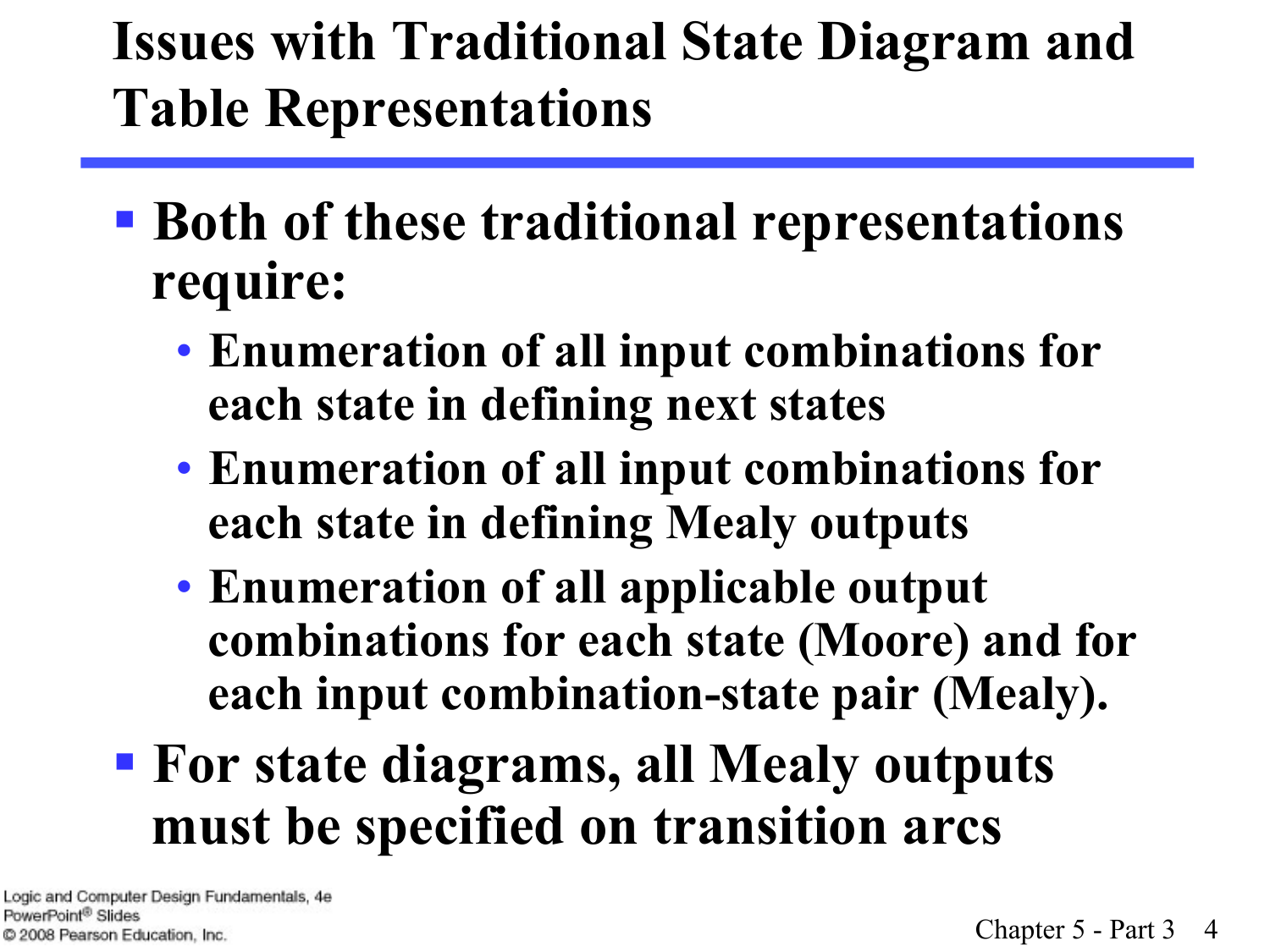#### **Issues with Traditional State Diagram and Table Representations**

- § **Both of these traditional representations require:** 
	- **Enumeration of all input combinations for each state in defining next states**
	- **Enumeration of all input combinations for each state in defining Mealy outputs**
	- **Enumeration of all applicable output combinations for each state (Moore) and for each input combination-state pair (Mealy).**
- § **For state diagrams, all Mealy outputs must be specified on transition arcs**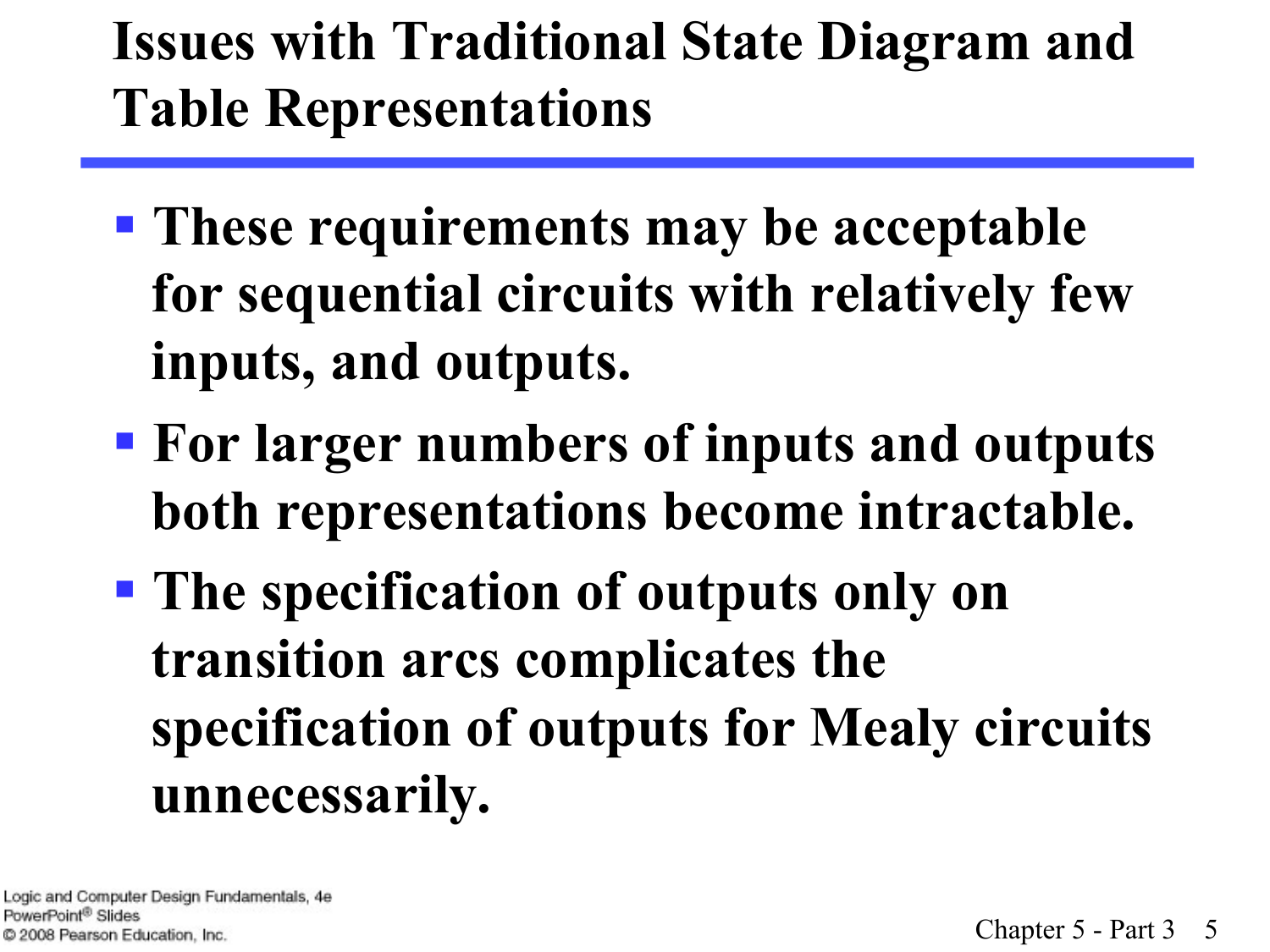#### **Issues with Traditional State Diagram and Table Representations**

- § **These requirements may be acceptable for sequential circuits with relatively few inputs, and outputs.**
- § **For larger numbers of inputs and outputs both representations become intractable.**
- § **The specification of outputs only on transition arcs complicates the specification of outputs for Mealy circuits unnecessarily.**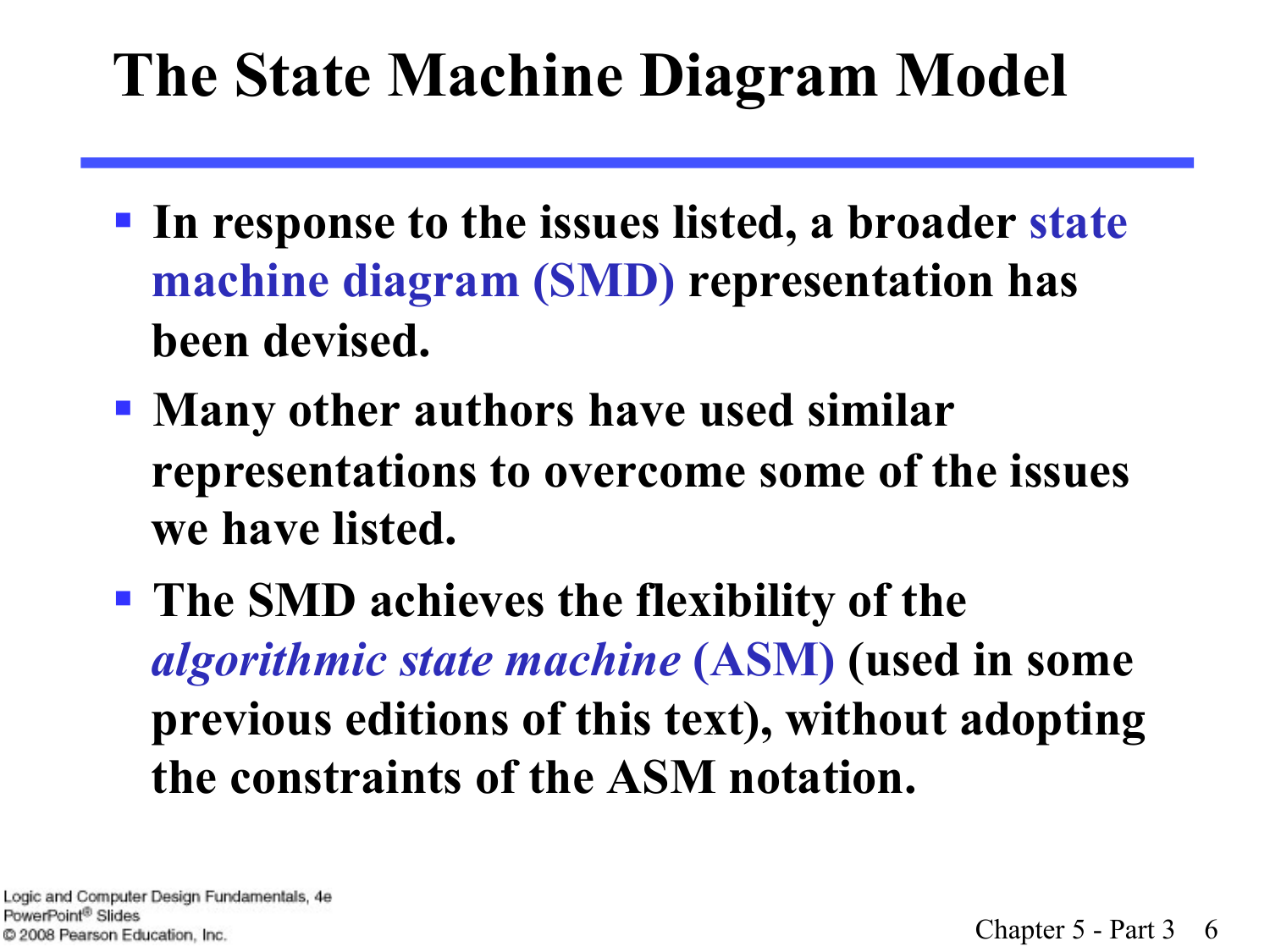# **The State Machine Diagram Model**

- § **In response to the issues listed, a broader state machine diagram (SMD) representation has been devised.**
- § **Many other authors have used similar representations to overcome some of the issues we have listed.**
- § **The SMD achieves the flexibility of the**  *algorithmic state machine* **(ASM) (used in some previous editions of this text), without adopting the constraints of the ASM notation.**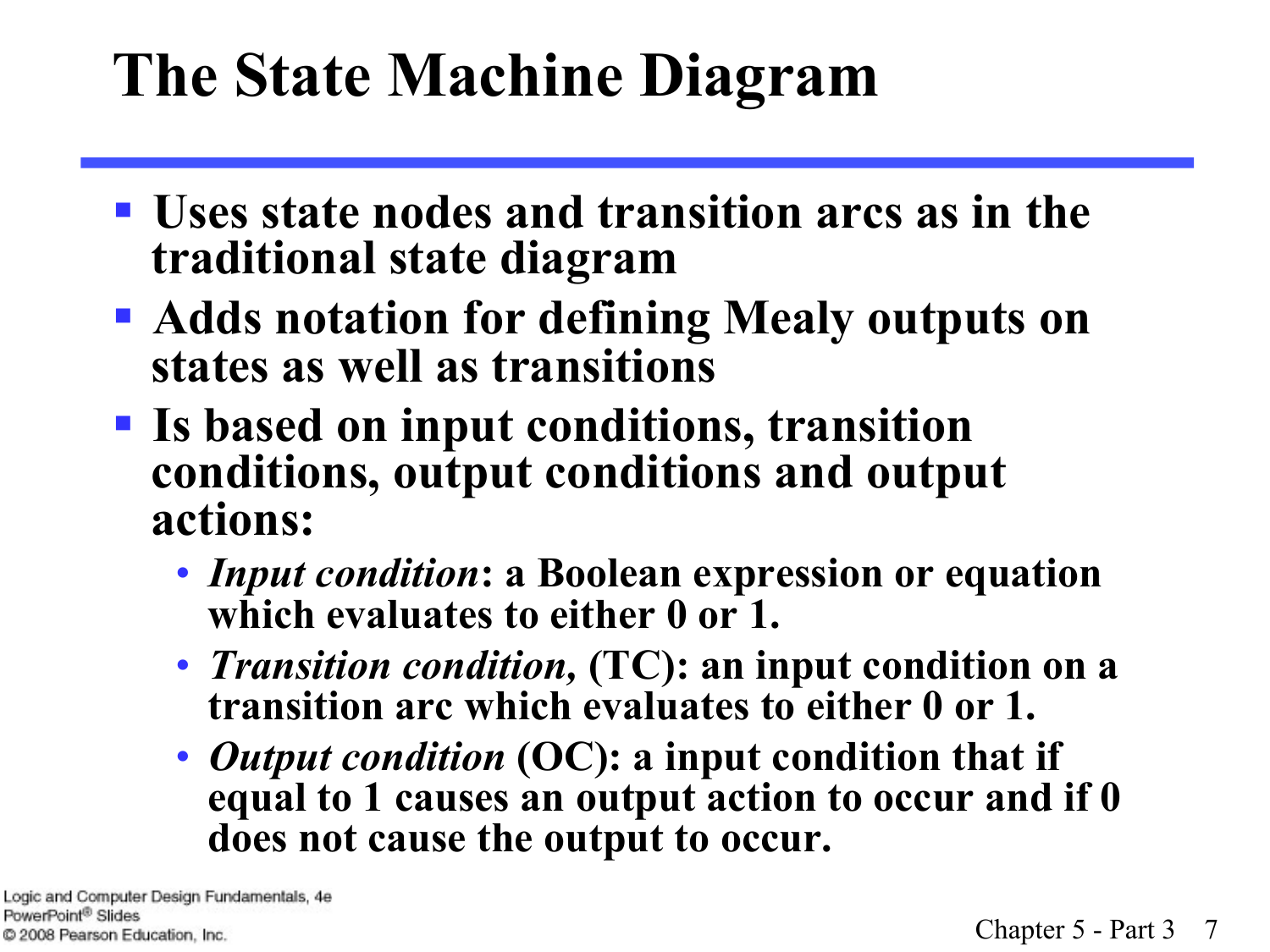- § **Uses state nodes and transition arcs as in the traditional state diagram**
- § **Adds notation for defining Mealy outputs on states as well as transitions**
- § **Is based on input conditions, transition conditions, output conditions and output actions:** 
	- *Input condition***: a Boolean expression or equation which evaluates to either 0 or 1.**
	- *Transition condition,* **(TC): an input condition on a transition arc which evaluates to either 0 or 1.**
	- *Output condition* **(OC): a input condition that if equal to 1 causes an output action to occur and if 0 does not cause the output to occur.**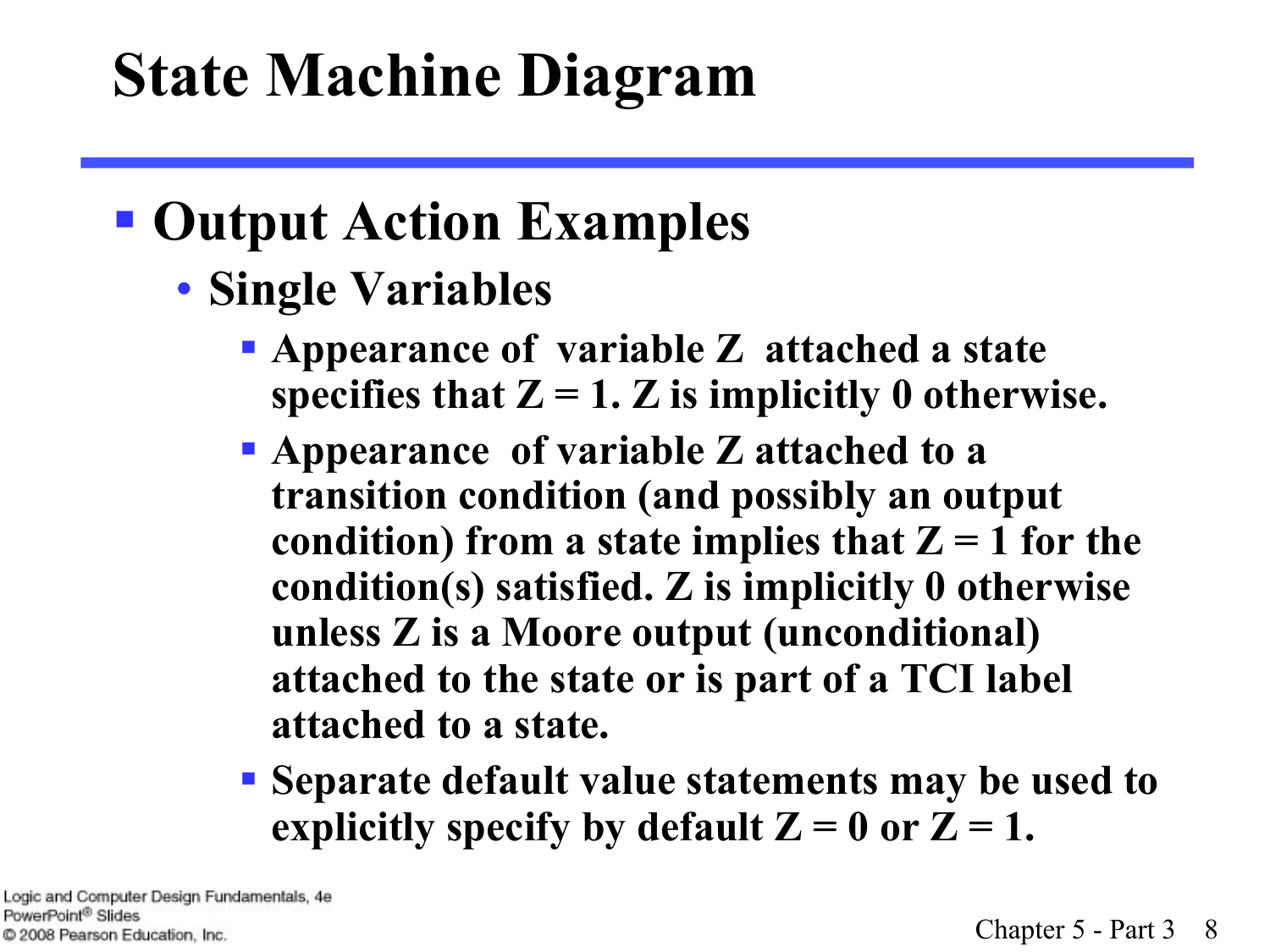#### § **Output Action Examples**

- **Single Variables** 
	- § **Appearance of variable Z attached a state**  specifies that  $Z = 1$ .  $Z$  is implicitly 0 otherwise.
	- § **Appearance of variable Z attached to a transition condition (and possibly an output**  condition) from a state implies that  $Z = 1$  for the **condition(s) satisfied. Z is implicitly 0 otherwise unless Z is a Moore output (unconditional) attached to the state or is part of a TCI label attached to a state.**
	- § **Separate default value statements may be used to**  explicitly specify by default  $Z = 0$  or  $Z = 1$ .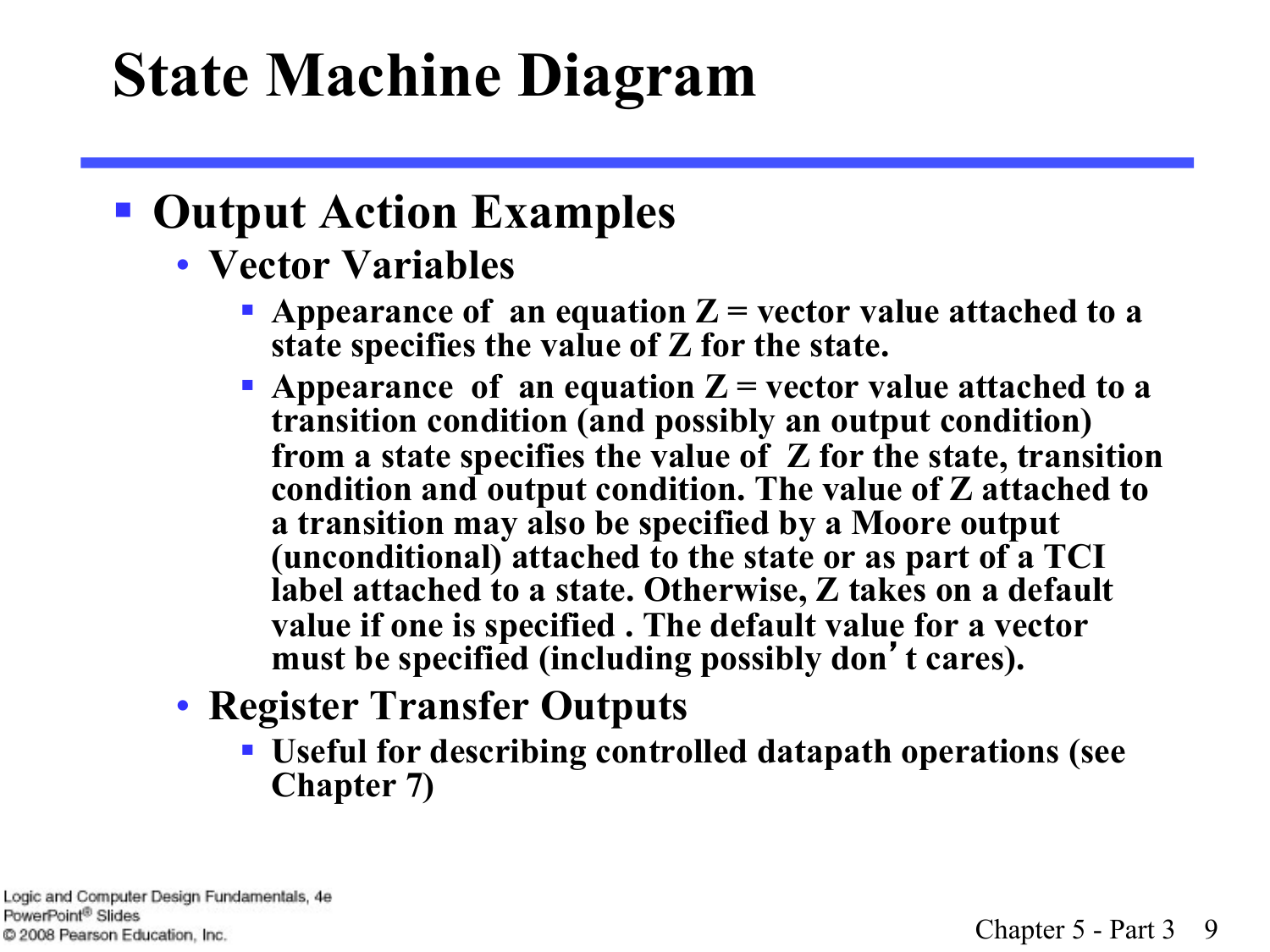#### § **Output Action Examples**

- **Vector Variables** 
	- **Appearance of an equation**  $Z$  **= vector value attached to a state specifies the value of Z for the state.**
	- **Appearance of an equation**  $Z$  **= vector value attached to a transition condition (and possibly an output condition) from a state specifies the value of Z for the state, transition condition and output condition. The value of Z attached to a transition may also be specified by a Moore output (unconditional) attached to the state or as part of a TCI label attached to a state. Otherwise, Z takes on a default value if one is specified . The default value for a vector must be specified (including possibly don**'**t cares).**
- **Register Transfer Outputs** 
	- § **Useful for describing controlled datapath operations (see Chapter 7)**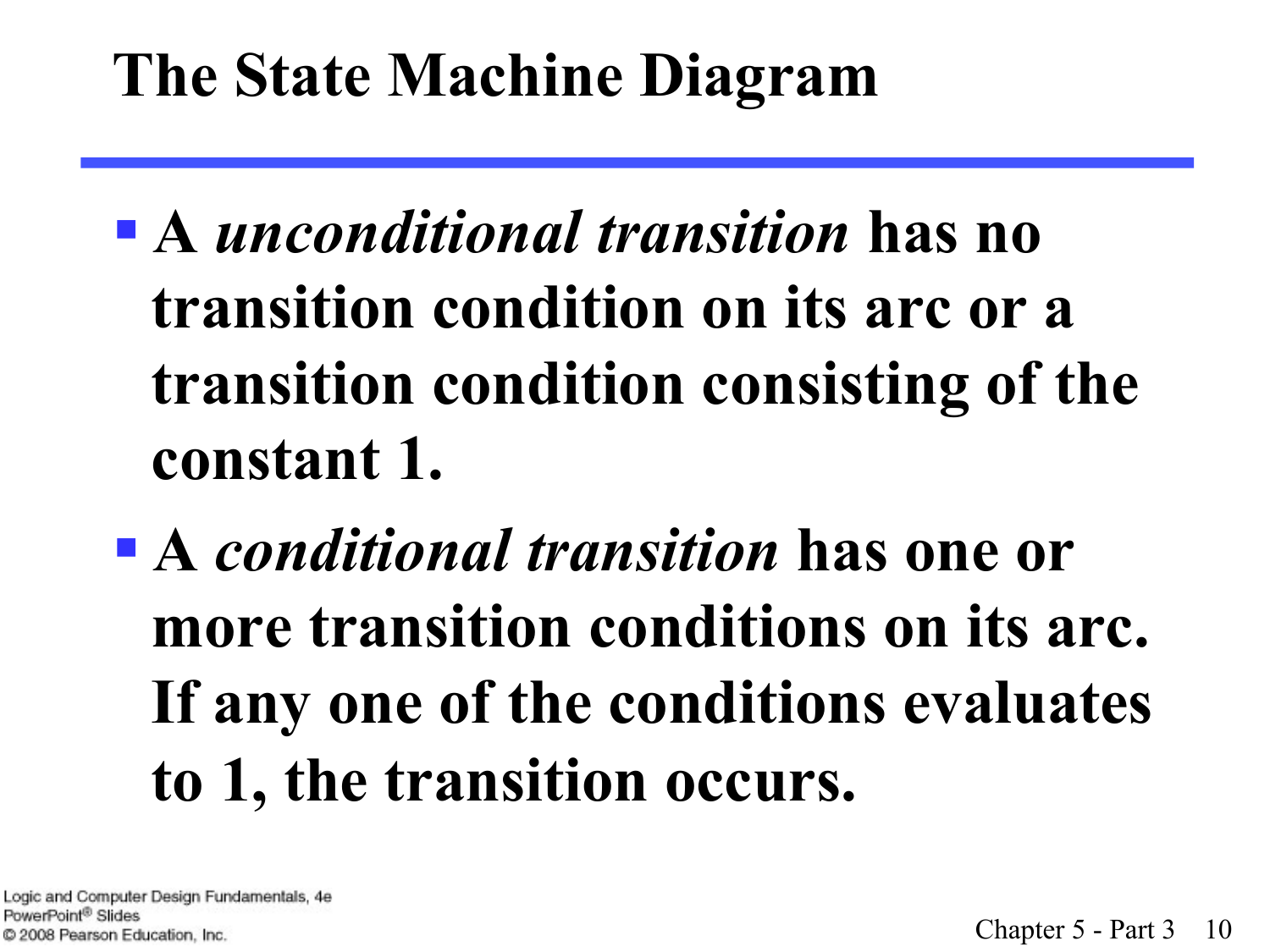- § **A** *unconditional transition* **has no transition condition on its arc or a transition condition consisting of the constant 1.**
- § **A** *conditional transition* **has one or more transition conditions on its arc. If any one of the conditions evaluates to 1, the transition occurs.**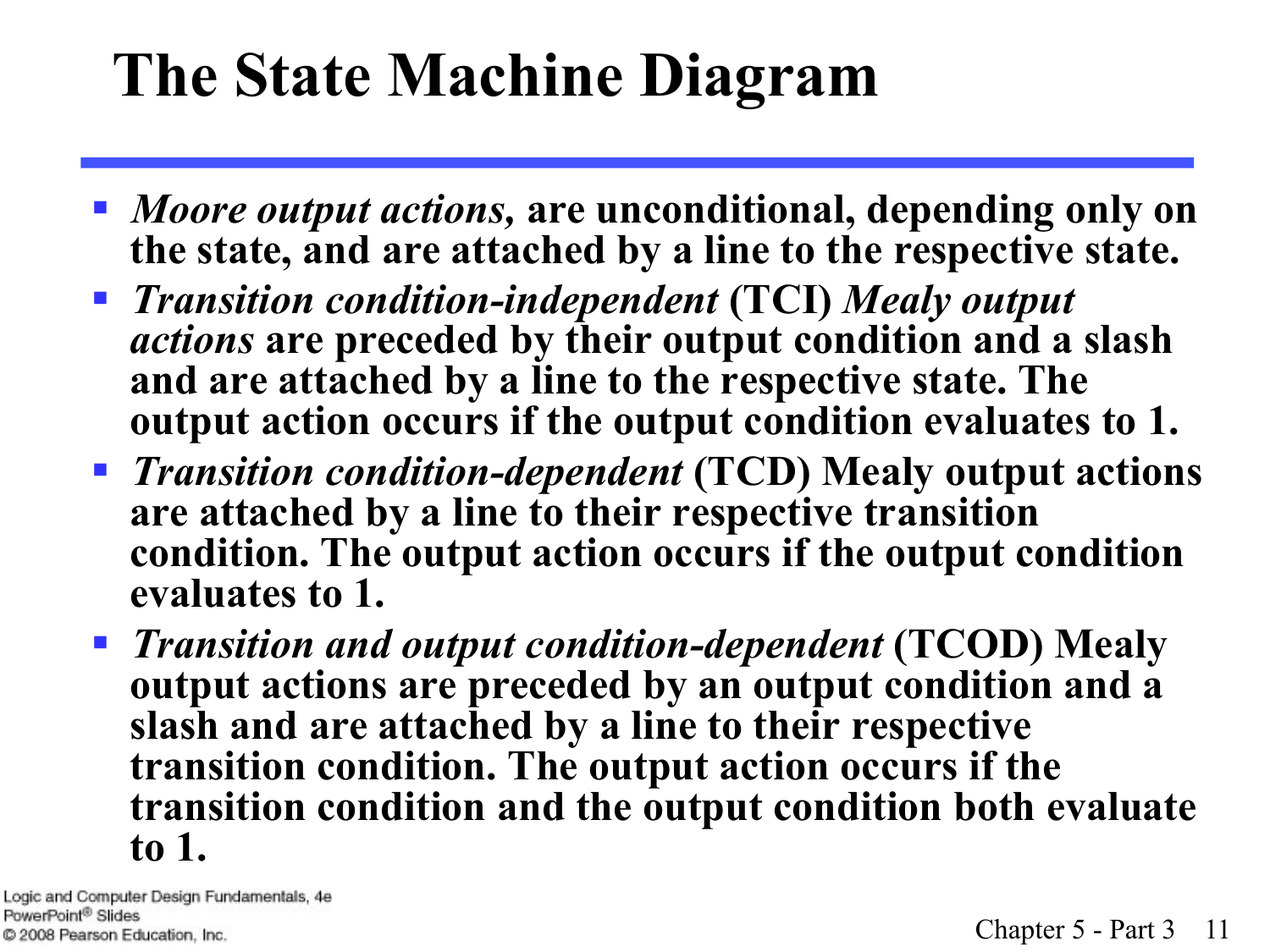- § *Moore output actions,* **are unconditional, depending only on the state, and are attached by a line to the respective state.**
- § *Transition condition-independent* **(TCI)** *Mealy output actions* **are preceded by their output condition and a slash and are attached by a line to the respective state. The output action occurs if the output condition evaluates to 1.**
- § *Transition condition-dependent* **(TCD) Mealy output actions are attached by a line to their respective transition condition. The output action occurs if the output condition evaluates to 1.**
- § *Transition and output condition-dependent* **(TCOD) Mealy output actions are preceded by an output condition and a slash and are attached by a line to their respective transition condition. The output action occurs if the transition condition and the output condition both evaluate to 1.**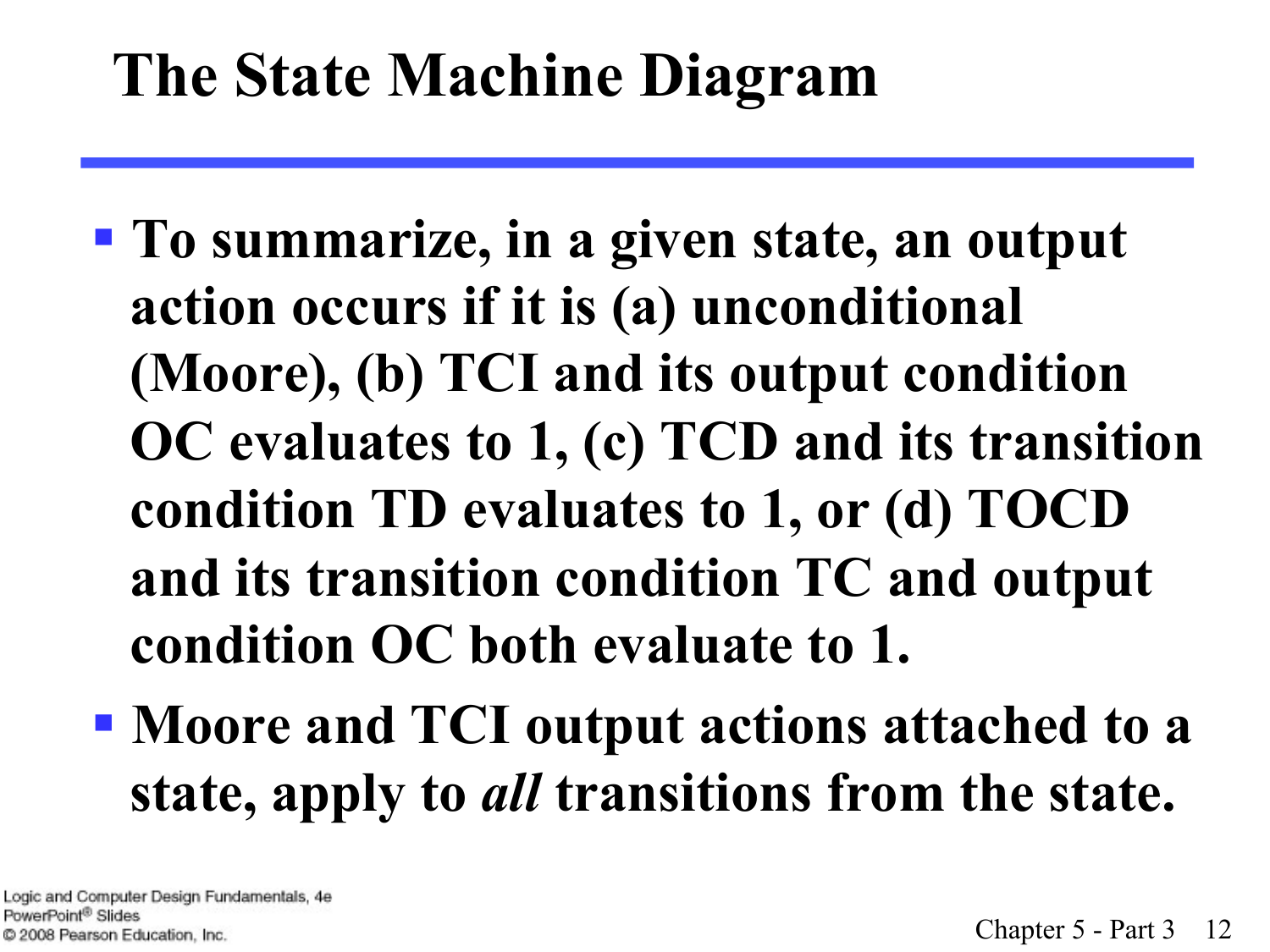- § **To summarize, in a given state, an output action occurs if it is (a) unconditional (Moore), (b) TCI and its output condition OC evaluates to 1, (c) TCD and its transition condition TD evaluates to 1, or (d) TOCD and its transition condition TC and output condition OC both evaluate to 1.**
- § **Moore and TCI output actions attached to a state, apply to** *all* **transitions from the state.**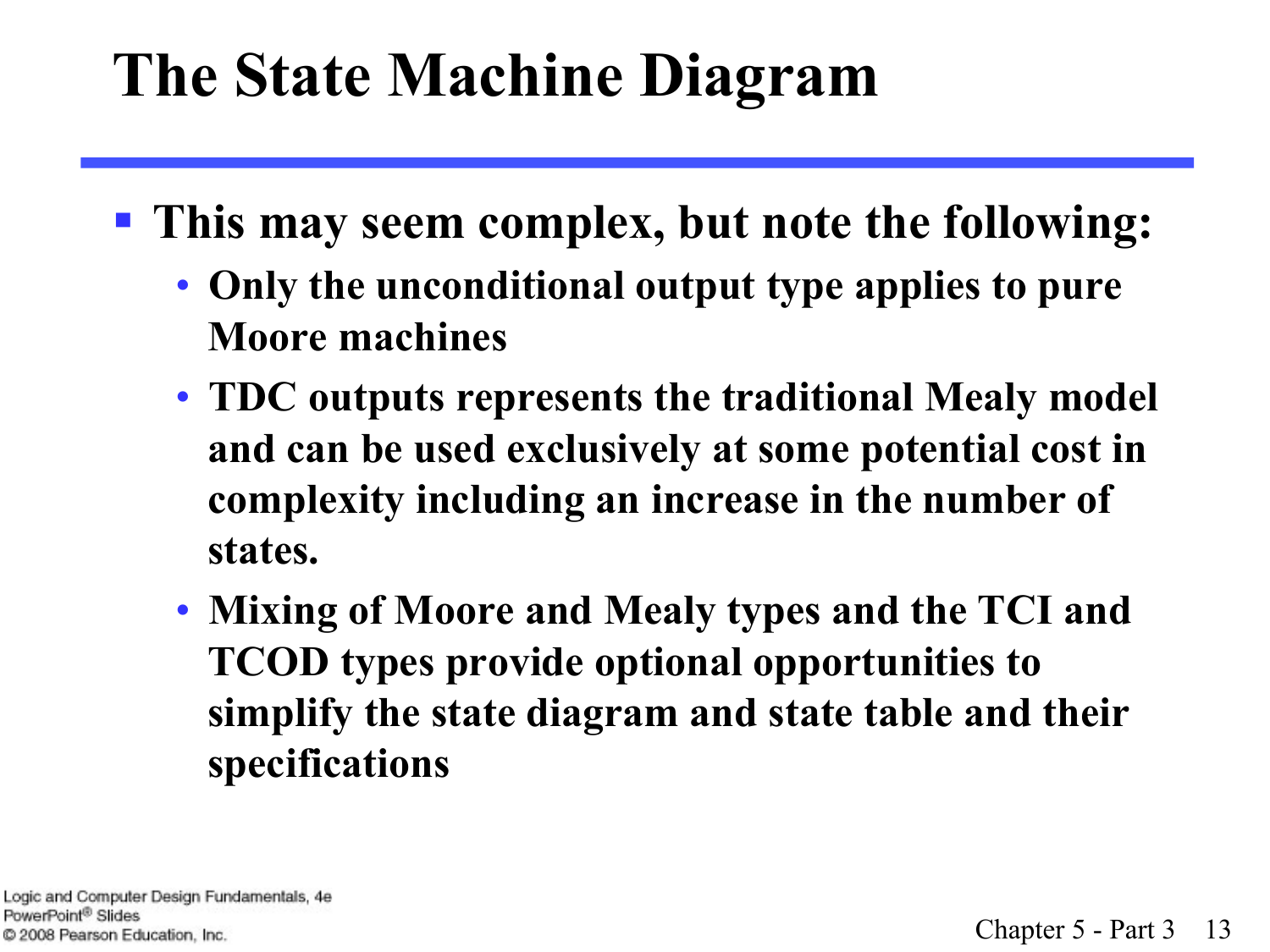- § **This may seem complex, but note the following:** 
	- **Only the unconditional output type applies to pure Moore machines**
	- **TDC outputs represents the traditional Mealy model and can be used exclusively at some potential cost in complexity including an increase in the number of states.**
	- **Mixing of Moore and Mealy types and the TCI and TCOD types provide optional opportunities to simplify the state diagram and state table and their specifications**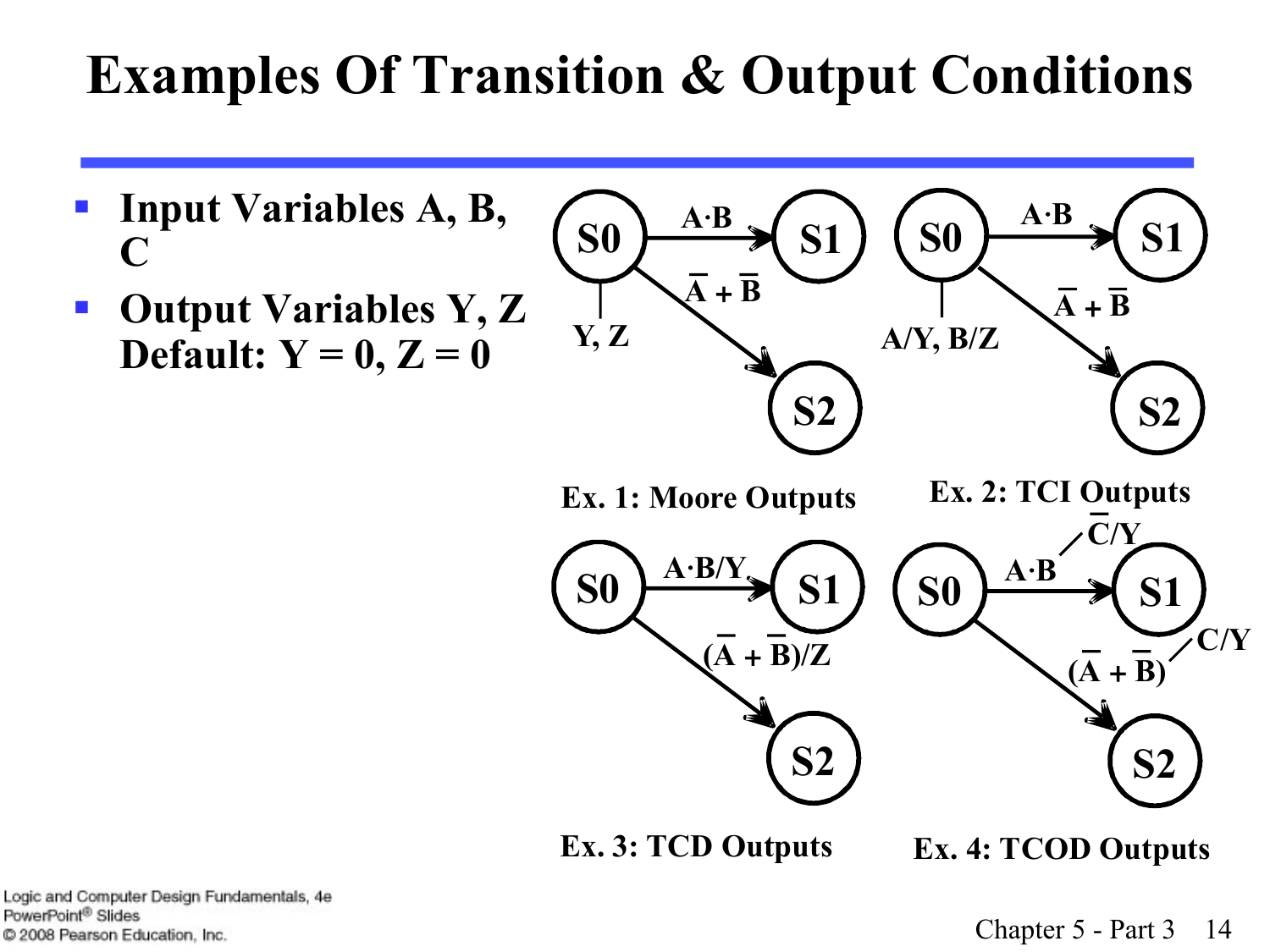#### **Examples Of Transition & Output Conditions**



Logic and Computer Design Fundamentals, 4e PowerPoint<sup>®</sup> Slides C 2008 Pearson Education, Inc.

Chapter 5 - Part 3 14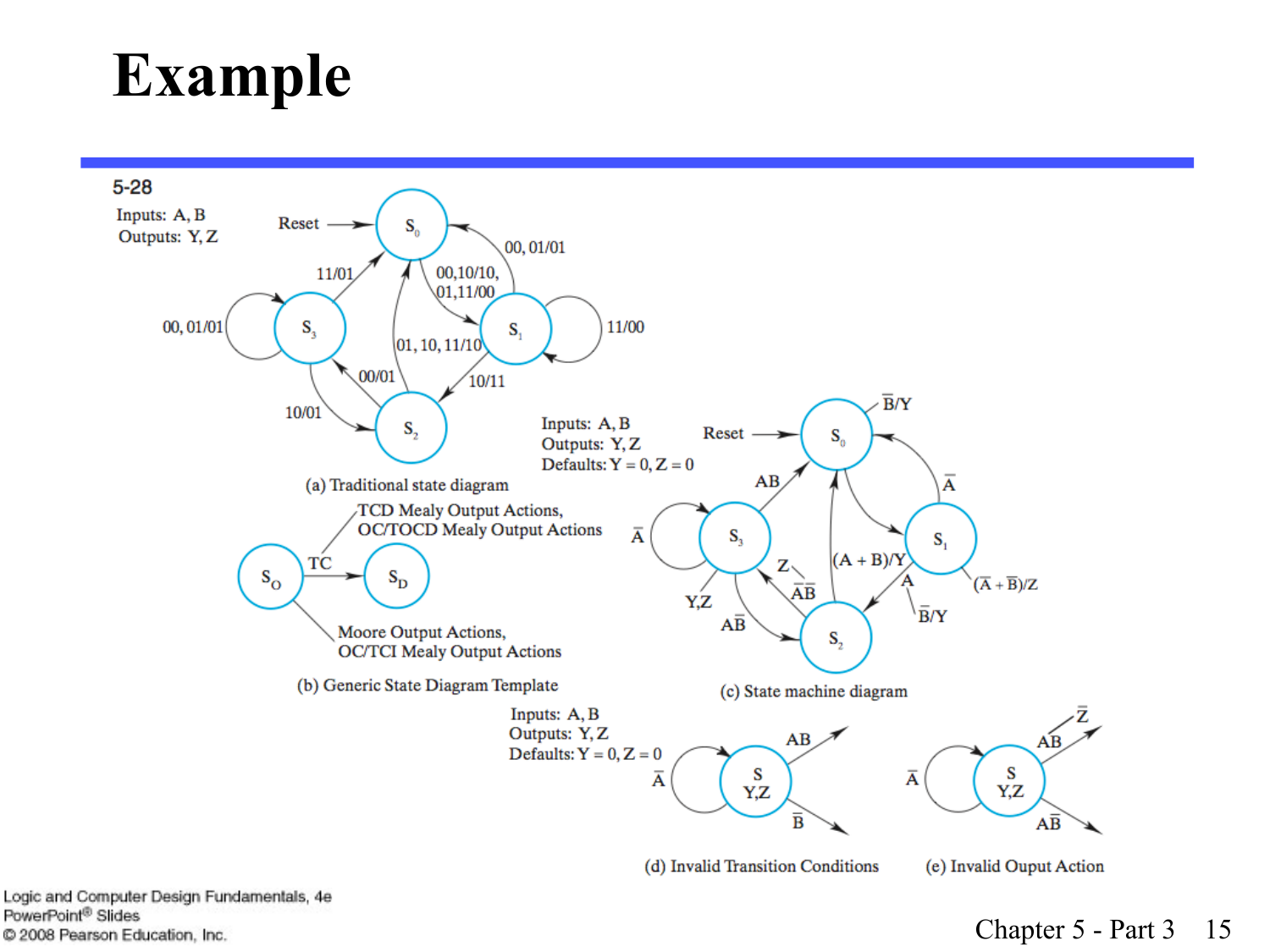#### **Example**



Chapter 5 - Part 3 15

Logic and Computer Design Fundamentals, 4e PowerPoint<sup>®</sup> Slides C 2008 Pearson Education, Inc.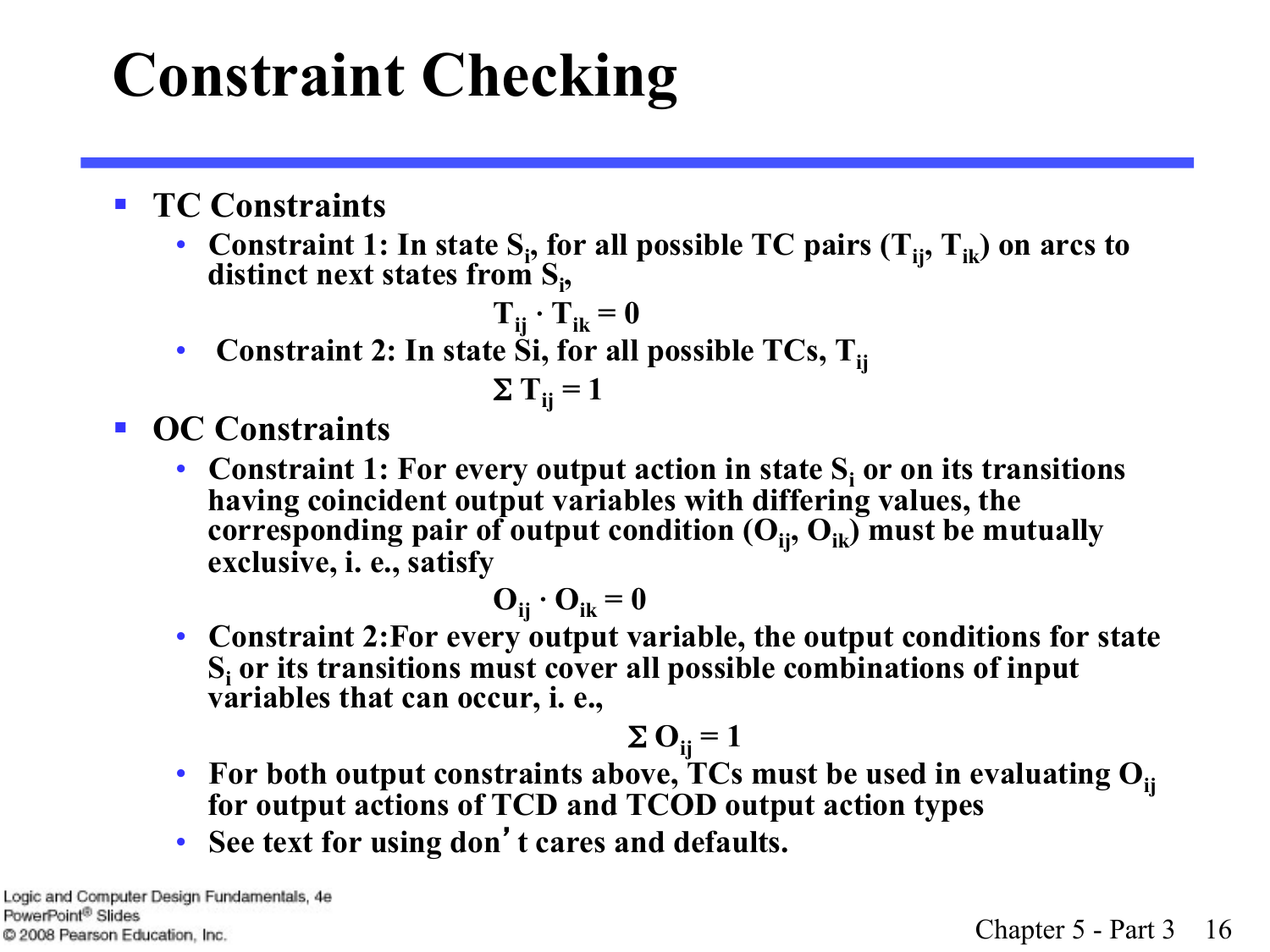# **Constraint Checking**

- § **TC Constraints** 
	- Constraint 1: In state  $S_i$ , for all possible TC pairs  $(T_{ij}, T_{ik})$  on arcs to distinct next states from S<sub>i</sub>,

$$
\mathbf{T}_{ij} \cdot \mathbf{T}_{ik} = \mathbf{0}
$$

• Constraint 2: In state Si, for all possible TCs, T<sub>ii</sub>

$$
\Sigma T_{ij} = 1
$$

- § **OC Constraints** 
	- Constraint 1: For every output action in state  $S_i$  or on its transitions **having coincident output variables with differing values, the**  corresponding pair of output condition  $(O_{ii}, O_{ik})$  must be mutually **exclusive, i. e., satisfy**

$$
\mathbf{O}_{ij} \cdot \mathbf{O}_{ik} = 0
$$

• **Constraint 2:For every output variable, the output conditions for state Si or its transitions must cover all possible combinations of input variables that can occur, i. e.,** 

$$
\Sigma \mathbf{O}_{ij} = 1
$$

- For both output constraints above, TCs must be used in evaluating O<sub>ij</sub> **for output actions of TCD and TCOD output action types**
- **See text for using don**'**t cares and defaults.**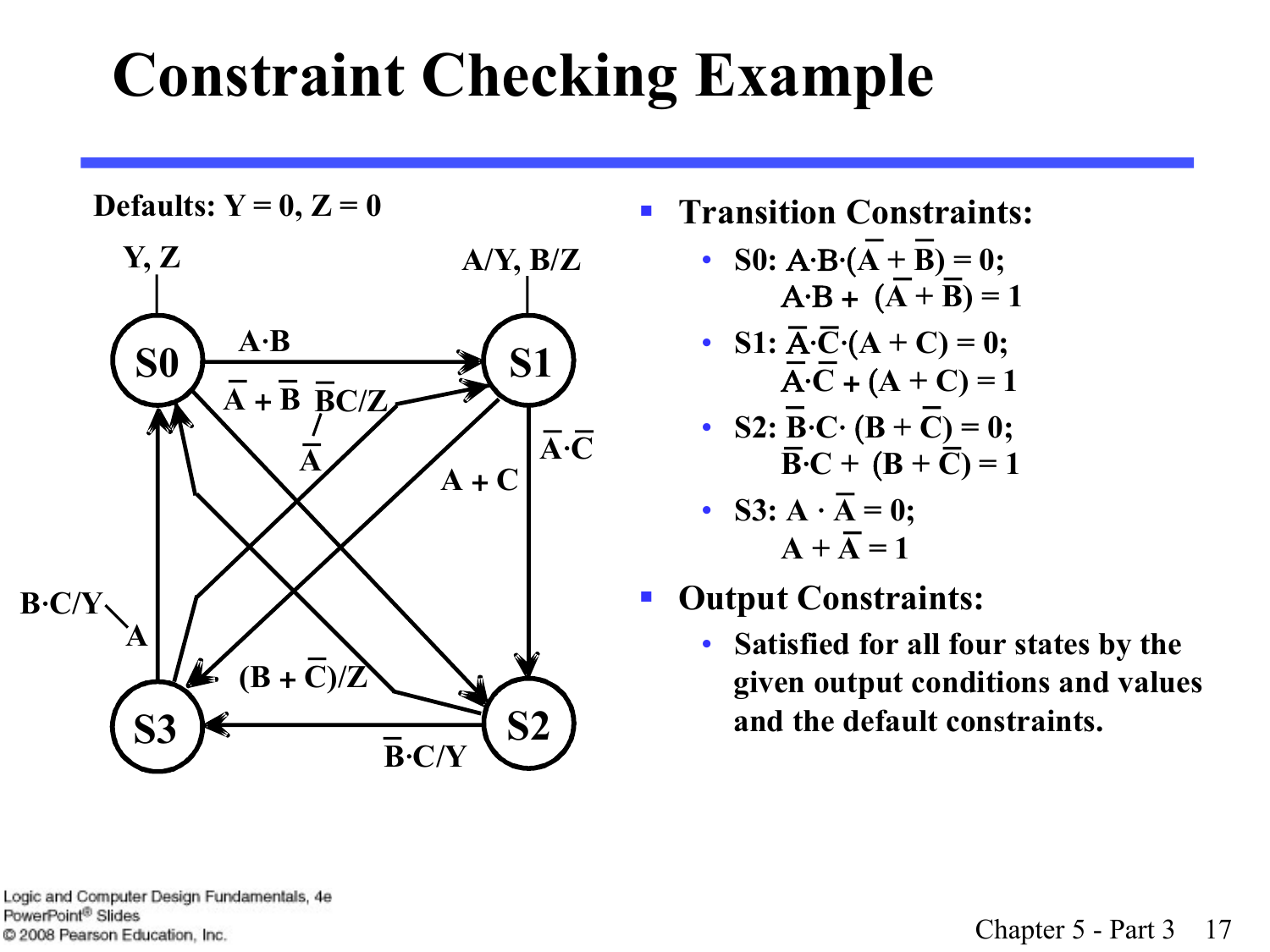# **Constraint Checking Example**



- **Defaults:**  $Y = 0, Z = 0$  **Solution Transition Constraints:** 
	- **S0:**  $A \cdot B \cdot (A + B) = 0;$  $A - B + (A + B) = 1$
	- **S1:**  $\overline{A} \cdot \overline{C} \cdot (A + C) = 0;$  $\overline{A} \cdot \overline{C} + (A + C) = 1$
	- **S2:**  $\overline{B} \cdot \overline{C} \cdot (B + \overline{C}) = 0;$  $\overline{\mathbf{B}}\cdot\mathbf{C} + (\mathbf{B} + \overline{\mathbf{C}}) = 1$
	- **S3:**  $A \cdot \overline{A} = 0$ ;  $A + \overline{A} = 1$
	- § **Output Constraints:** 
		- **Satisfied for all four states by the given output conditions and values and the default constraints.**

Logic and Computer Design Fundamentals, 4e PowerPoint<sup>®</sup> Slides C 2008 Pearson Education, Inc.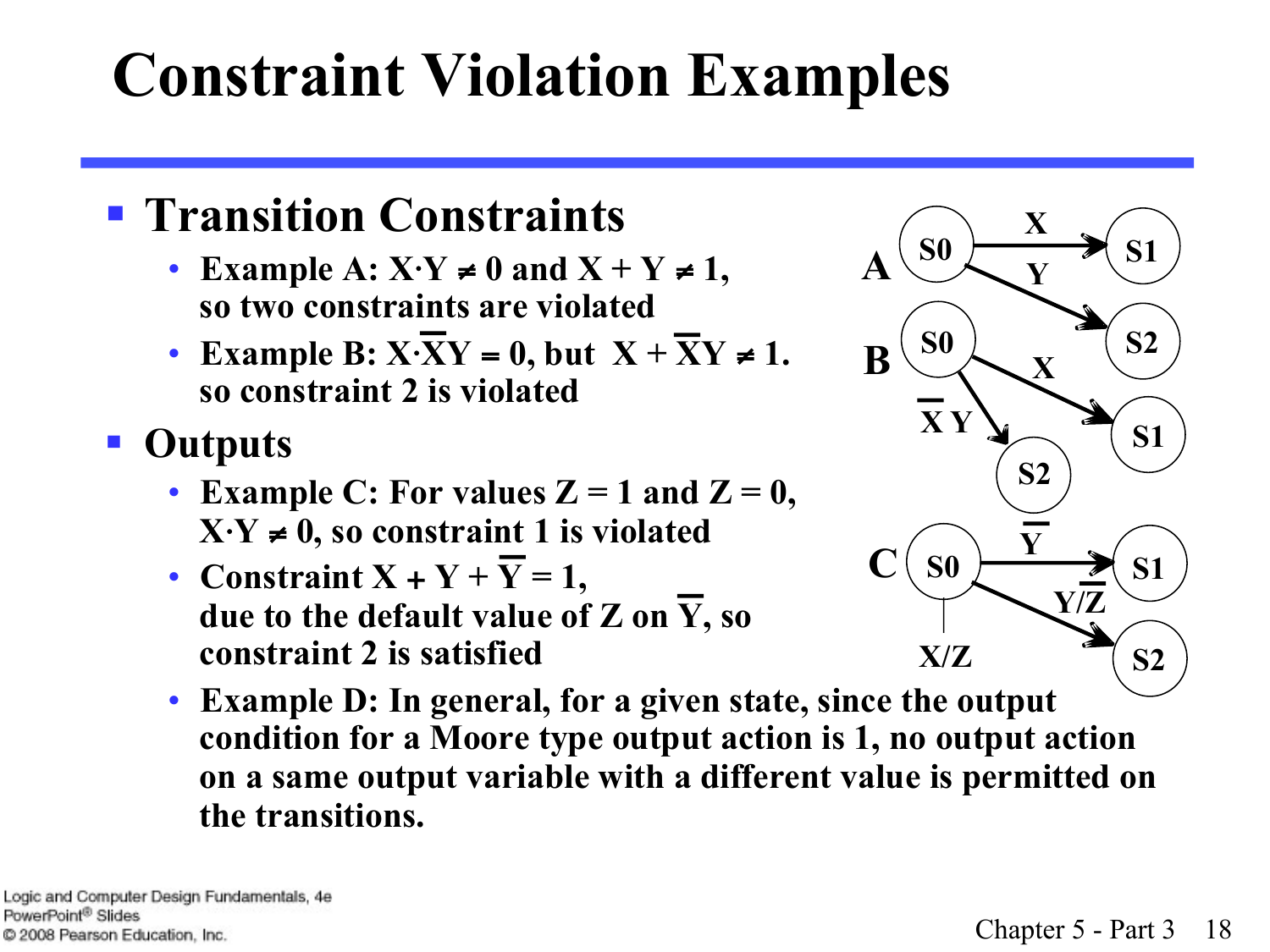# **Constraint Violation Examples**

#### § **Transition Constraints**

- **Example A: X**⋅**Y** ≠ **0 and X + Y** ≠ **1, so two constraints are violated**
- **Example B:**  $X \cdot \overline{XY} = 0$ , but  $X + \overline{XY} \neq 1$ . **so constraint 2 is violated**
- § **Outputs** 
	- **Example C:** For values  $Z = 1$  and  $Z = 0$ ,  $X \cdot Y \neq 0$ , so constraint 1 is violated
	- **Constraint**  $X + Y + Y = 1$ , **due to the default value of Z on Y, so constraint 2 is satisfied**



• **Example D: In general, for a given state, since the output condition for a Moore type output action is 1, no output action on a same output variable with a different value is permitted on the transitions.**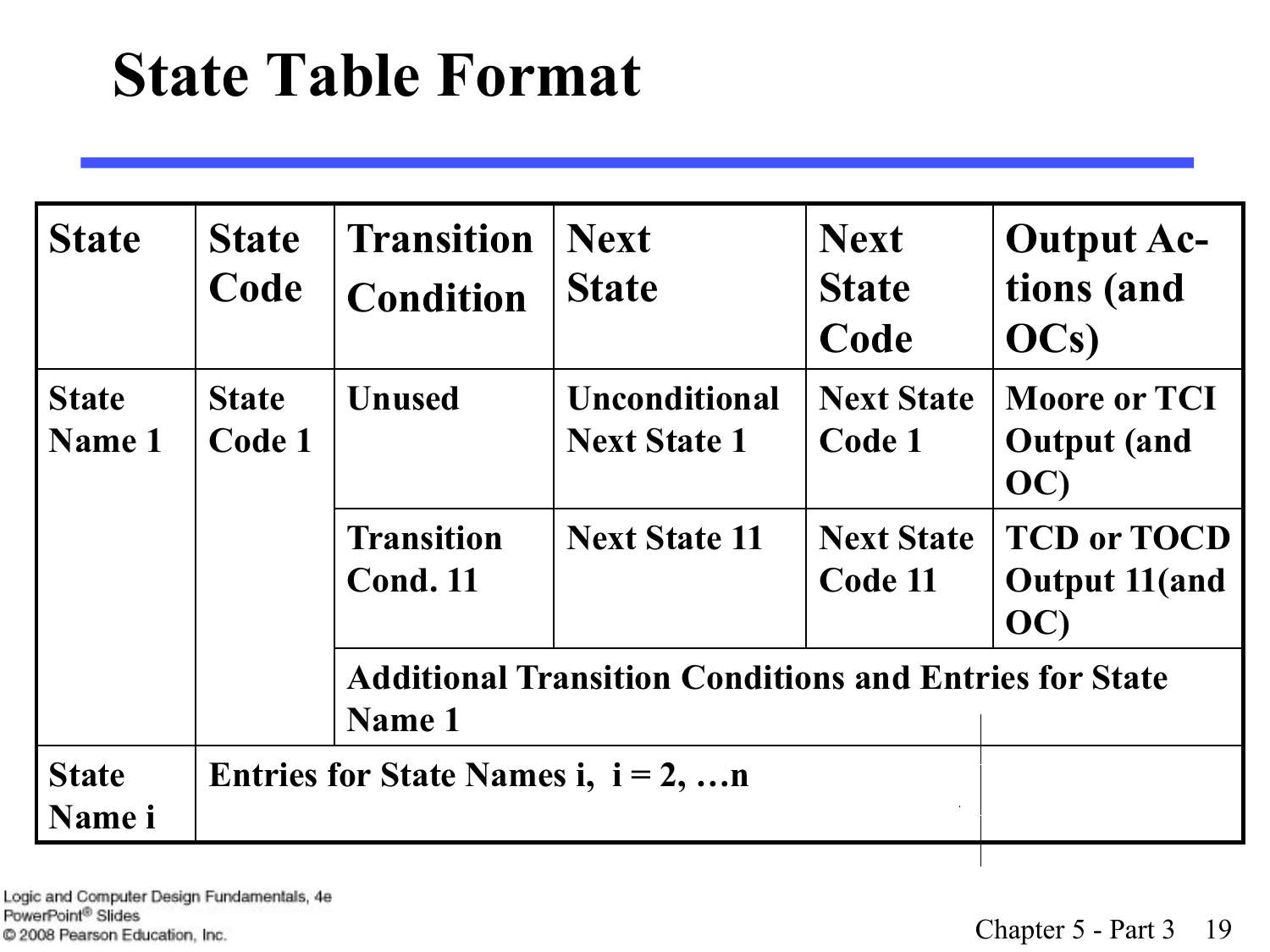#### **State Table Format**

| <b>State</b>           | <b>State</b><br>Code   | <b>Transition</b><br><b>Condition</b>                                   | <b>Next</b><br><b>State</b>                 | <b>Next</b><br><b>State</b><br>Code | <b>Output Ac-</b><br>tions (and<br>OCs)           |
|------------------------|------------------------|-------------------------------------------------------------------------|---------------------------------------------|-------------------------------------|---------------------------------------------------|
| <b>State</b><br>Name 1 | <b>State</b><br>Code 1 | <b>Unused</b>                                                           | <b>Unconditional</b><br><b>Next State 1</b> | <b>Next State</b><br>Code 1         | <b>Moore or TCI</b><br><b>Output</b> (and<br>OC)  |
|                        |                        | <b>Transition</b><br><b>Cond. 11</b>                                    | <b>Next State 11</b>                        | <b>Next State</b><br>Code 11        | <b>TCD or TOCD</b><br><b>Output 11(and</b><br>OC) |
|                        |                        | <b>Additional Transition Conditions and Entries for State</b><br>Name 1 |                                             |                                     |                                                   |
| <b>State</b><br>Name i |                        | Entries for State Names i, $i = 2, n$                                   |                                             |                                     |                                                   |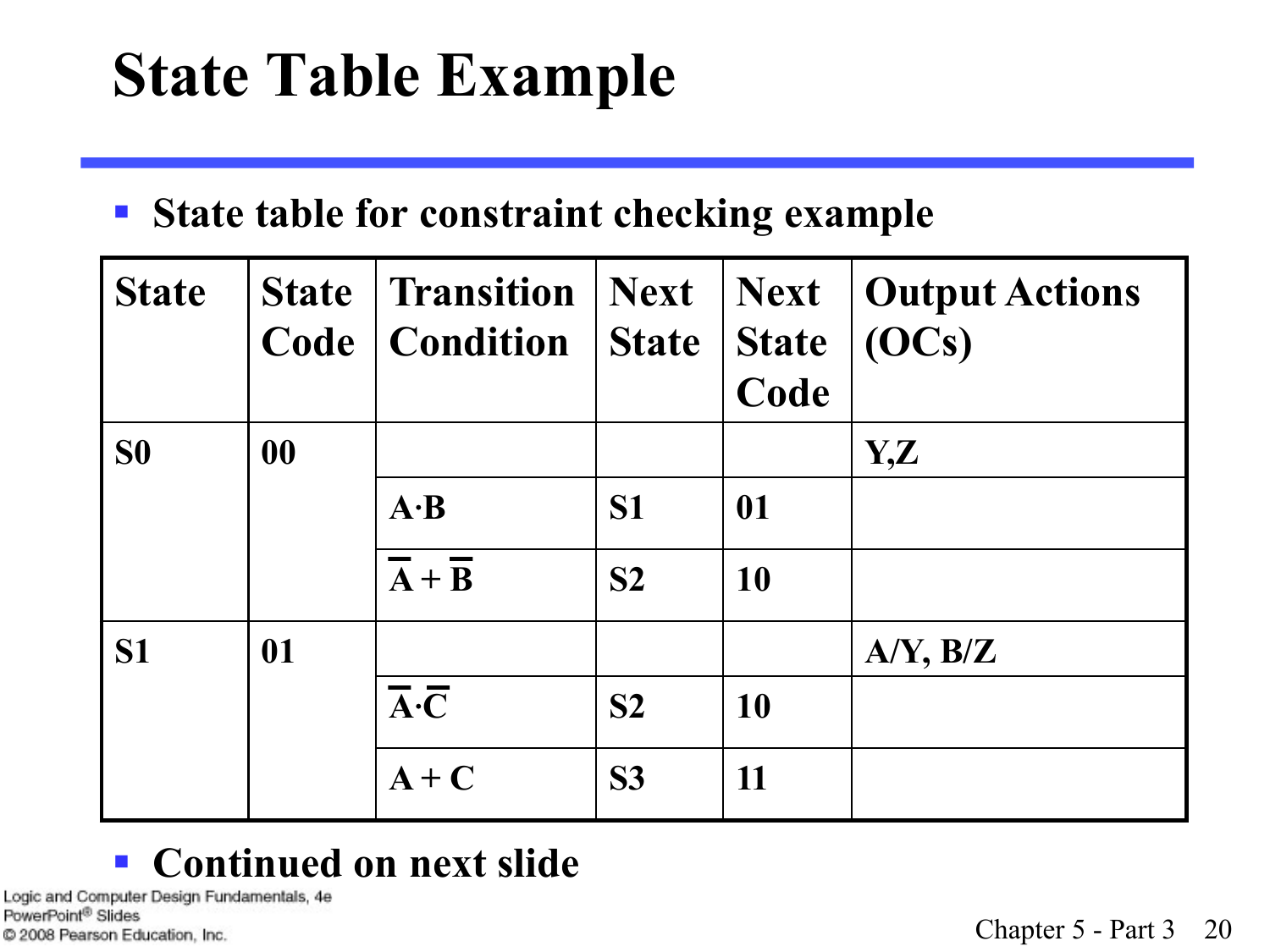## **State Table Example**

#### § **State table for constraint checking example**

| <b>State</b>   |    | <b>State</b> Transition<br><b>Code</b>   <b>Condition</b> | <b>Next</b><br>State | $\vert$ Next<br><b>State</b><br>Code | <b>Output Actions</b><br>(OCs) |
|----------------|----|-----------------------------------------------------------|----------------------|--------------------------------------|--------------------------------|
| S <sub>0</sub> | 00 |                                                           |                      |                                      | Y,Z                            |
|                |    | $A \cdot B$                                               | <b>S1</b>            | 01                                   |                                |
|                |    | $\overline{A} + \overline{B}$                             | S <sub>2</sub>       | 10                                   |                                |
| S <sub>1</sub> | 01 |                                                           |                      |                                      | $A/Y$ , $B/Z$                  |
|                |    | $\overline{A}\cdot\overline{C}$                           | S <sub>2</sub>       | <b>10</b>                            |                                |
|                |    | $A+C$                                                     | <b>S3</b>            | 11                                   |                                |

#### § **Continued on next slide**

Logic and Computer Design Fundamentals, 4e PowerPoint<sup>®</sup> Slides C 2008 Pearson Education, Inc.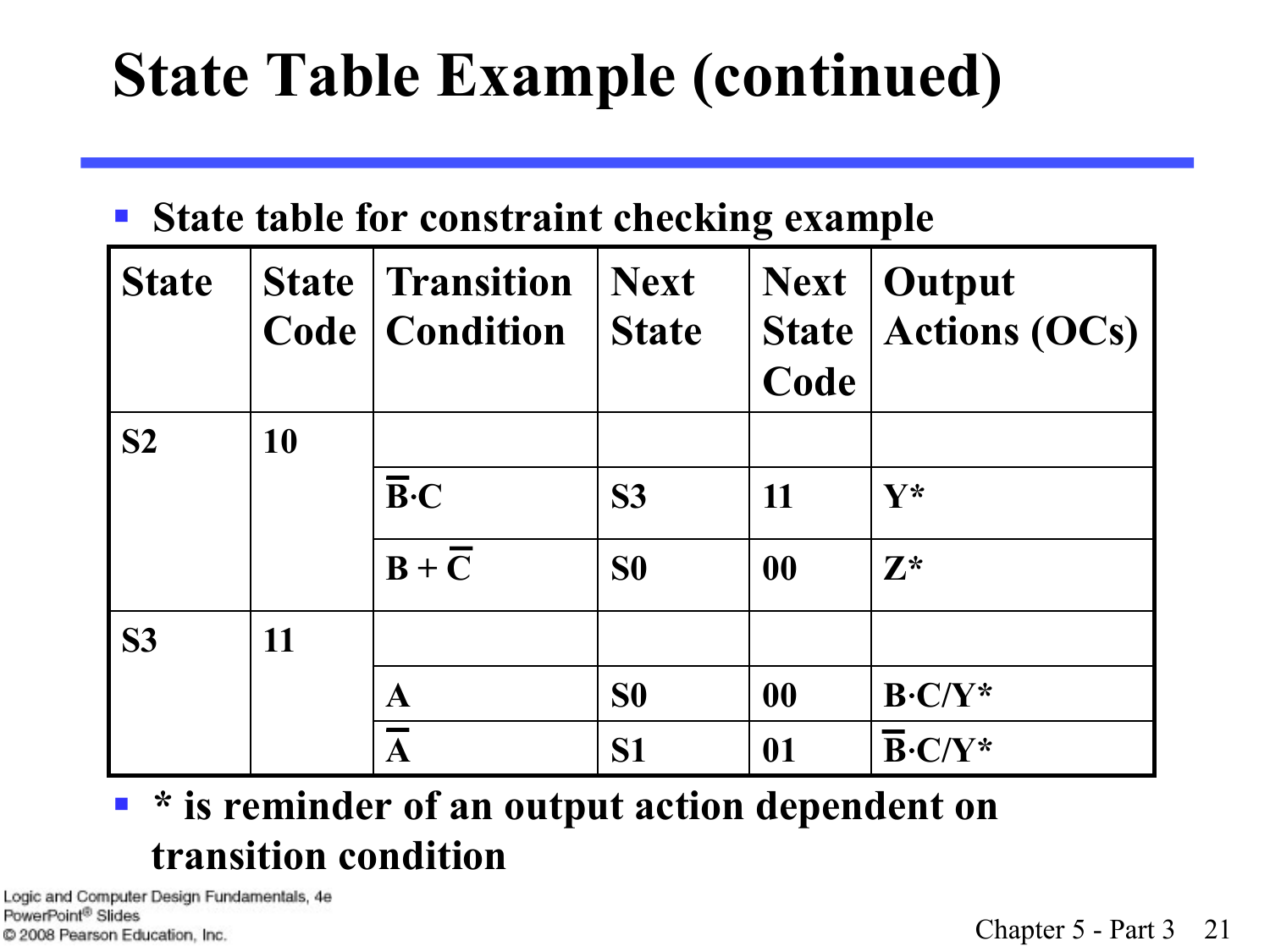# **State Table Example (continued)**

#### § **State table for constraint checking example**

| <b>State</b>   |    | <b>State   Transition</b><br><b>Code   Condition</b> | <b>Next</b><br><b>State</b> | <b>Next</b><br><b>State</b><br>Code | <b>Output</b><br><b>Actions (OCs)</b> |
|----------------|----|------------------------------------------------------|-----------------------------|-------------------------------------|---------------------------------------|
| S <sub>2</sub> | 10 |                                                      |                             |                                     |                                       |
|                |    | $\overline{\mathbf{B}}\cdot\mathbf{C}$               | S <sub>3</sub>              | 11                                  | $\mathbf{V}^*$                        |
|                |    | $B + \overline{C}$                                   | S <sub>0</sub>              | 00                                  | $\mathbf{Z}^*$                        |
| <b>S3</b>      | 11 |                                                      |                             |                                     |                                       |
|                |    | $\mathbf A$                                          | S <sub>0</sub>              | 00                                  | $B-C/Y^*$                             |
|                |    | $\overline{\mathbf{A}}$                              | S <sub>1</sub>              | 01                                  | $B-C/Y^*$                             |

#### ■ <sup>\*</sup> is reminder of an output action dependent on **transition condition**

Logic and Computer Design Fundamentals, 4e PowerPoint<sup>®</sup> Slides C 2008 Pearson Education, Inc.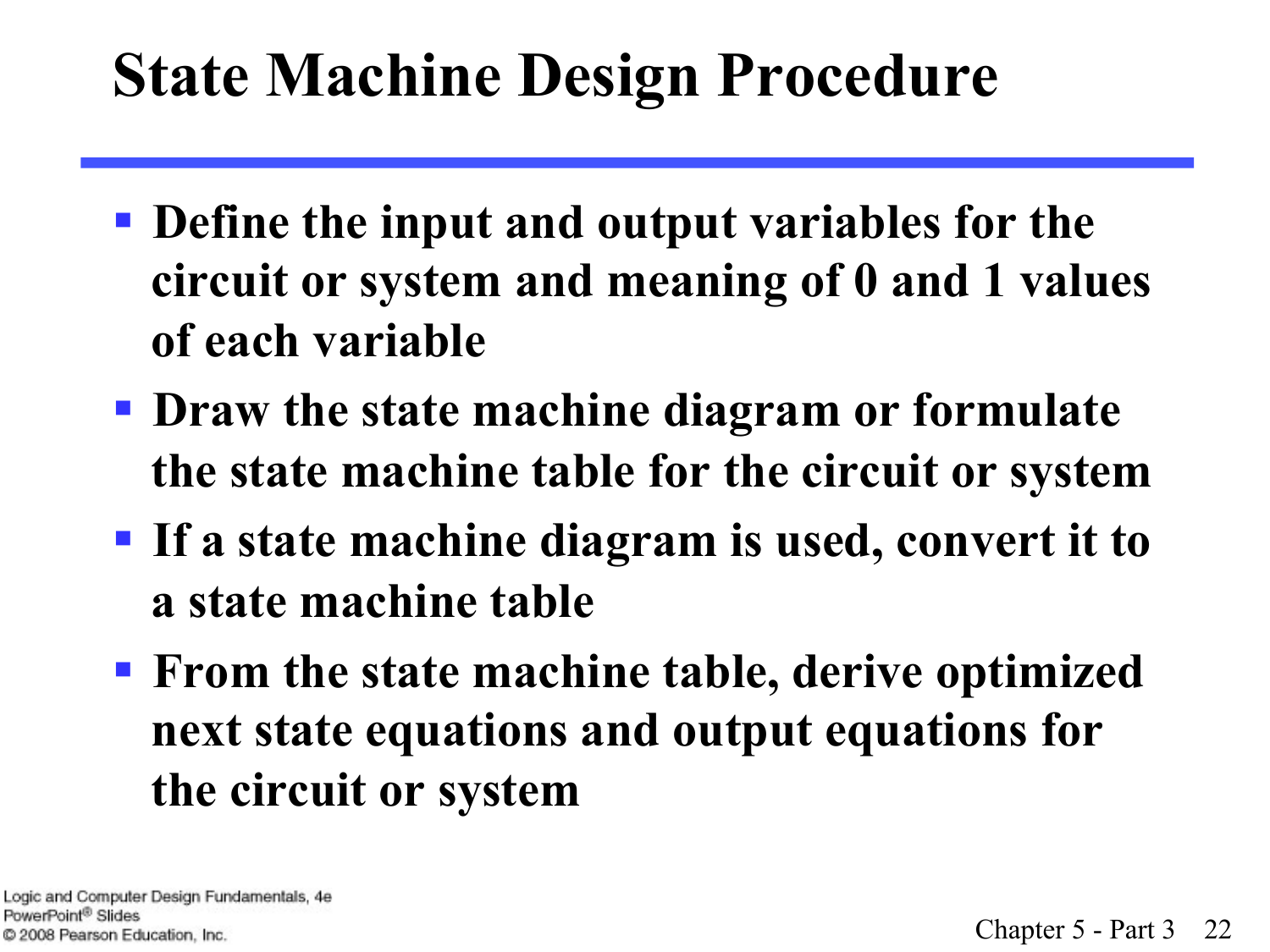### **State Machine Design Procedure**

- § **Define the input and output variables for the circuit or system and meaning of 0 and 1 values of each variable**
- § **Draw the state machine diagram or formulate the state machine table for the circuit or system**
- § **If a state machine diagram is used, convert it to a state machine table**
- § **From the state machine table, derive optimized next state equations and output equations for the circuit or system**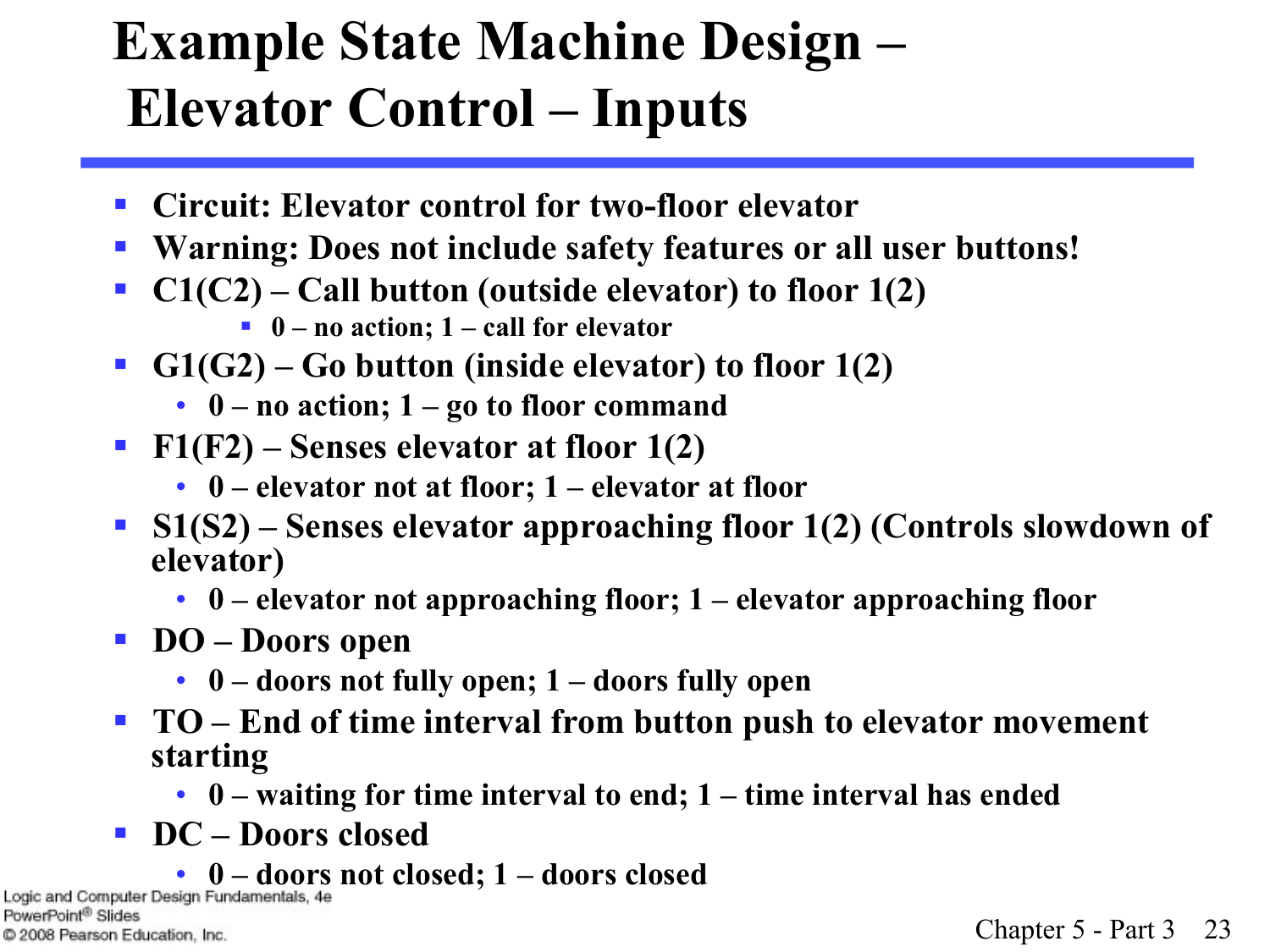#### **Example State Machine Design – Elevator Control – Inputs**

- Circuit: Elevator control for two-floor elevator
- § **Warning: Does not include safety features or all user buttons!**
- **C1(C2)** Call button (outside elevator) to floor 1(2)
	- 0 no action; 1 call for elevator
- G1(G2) Go button (inside elevator) to floor 1(2)
	- **0 no action; 1 go to floor command**
- § **F1(F2) Senses elevator at floor 1(2)** 
	- **0 elevator not at floor; 1 elevator at floor**
- § **S1(S2) Senses elevator approaching floor 1(2) (Controls slowdown of elevator)** 
	- **0 elevator not approaching floor; 1 elevator approaching floor**
- § **DO Doors open** 
	- **0 doors not fully open; 1 doors fully open**
- **TO** End of time interval from button push to elevator movement **starting** 
	- **0 waiting for time interval to end; 1 time interval has ended**
- § **DC Doors closed**
- **0 doors not closed; 1 doors closed**

PowerPoint<sup>®</sup> Slides C 2008 Pearson Education, Inc.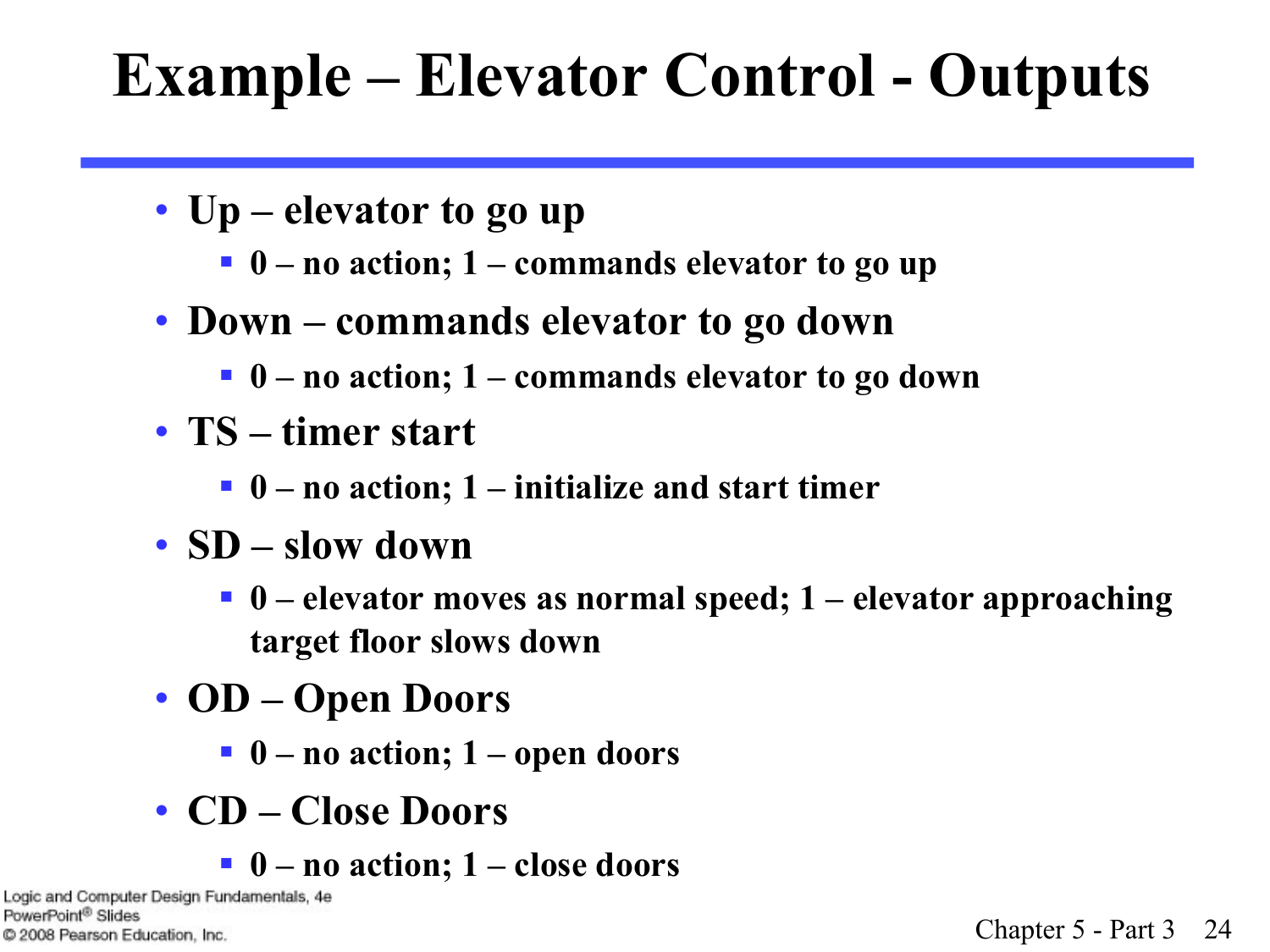# **Example – Elevator Control - Outputs**

- **Up elevator to go up** 
	- 0 no action; 1 commands elevator to go up
- **Down commands elevator to go down** 
	- § **0 no action; 1 commands elevator to go down**
- **TS timer start** 
	- 0 no action; 1 initialize and start timer
- **SD slow down** 
	- § **0 elevator moves as normal speed; 1 elevator approaching target floor slows down**
- **OD Open Doors** 
	- § **0 no action; 1 open doors**
- **CD Close Doors** 
	- § **0 no action; 1 close doors**

Logic and Computer Design Fundamentals, 4e PowerPoint® Slides C 2008 Pearson Education, Inc.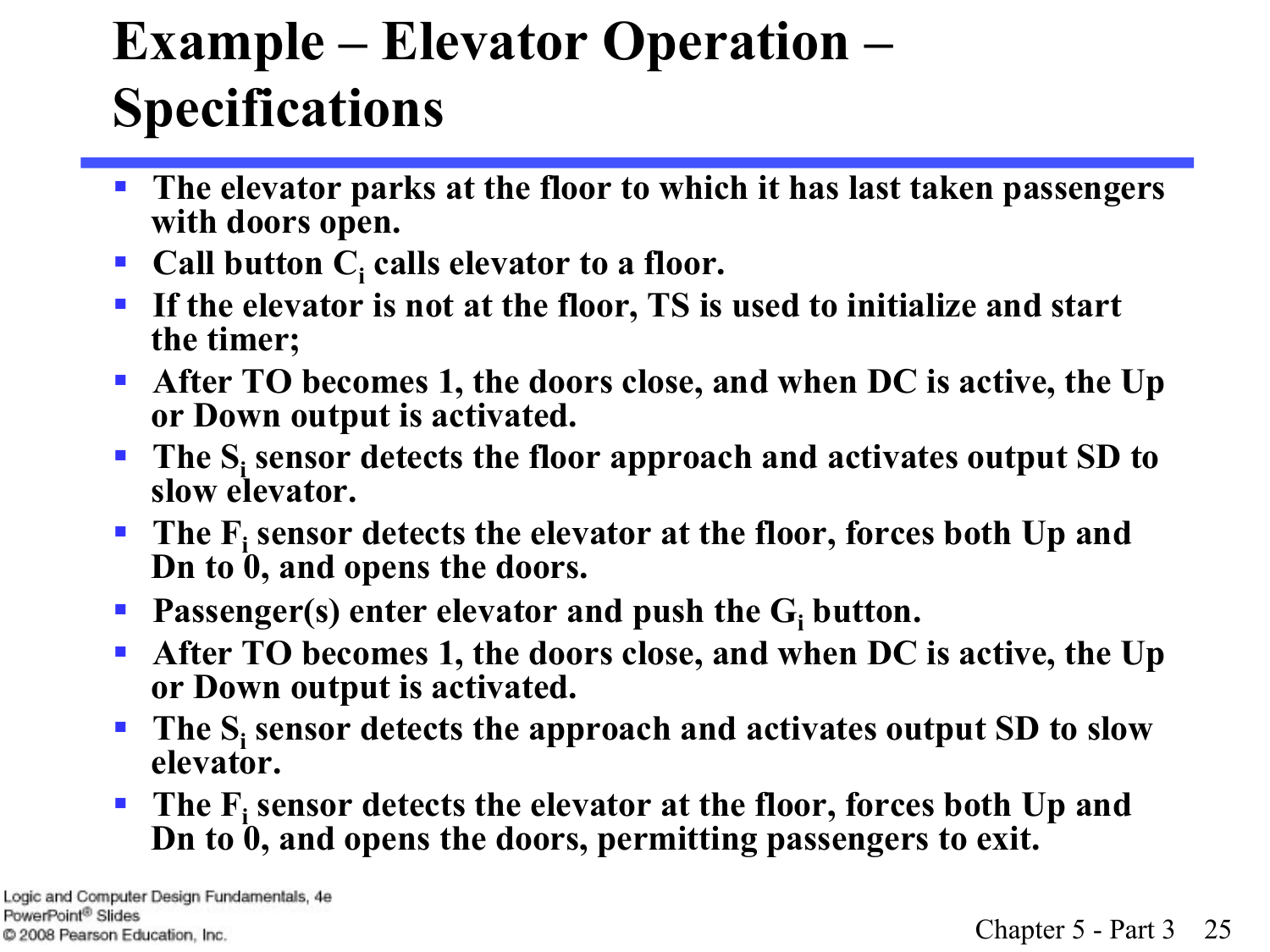#### **Example – Elevator Operation – Specifications**

- The elevator parks at the floor to which it has last taken passengers **with doors open.**
- Call button C<sub>i</sub> calls elevator to a floor.
- If the elevator is not at the floor, TS is used to initialize and start **the timer;**
- § **After TO becomes 1, the doors close, and when DC is active, the Up or Down output is activated.**
- **The S<sub>i</sub> sensor detects the floor approach and activates output SD to slow elevator.**
- **The F**<sub>i</sub> sensor detects the elevator at the floor, forces both Up and **Dn to 0, and opens the doors.**
- **Passenger(s) enter elevator and push the G<sub>i</sub> button.**
- § **After TO becomes 1, the doors close, and when DC is active, the Up or Down output is activated.**
- **The S<sub>i</sub> sensor detects the approach and activates output SD to slow elevator.**
- The F<sub>i</sub> sensor detects the elevator at the floor, forces both Up and **Dn to 0, and opens the doors, permitting passengers to exit.**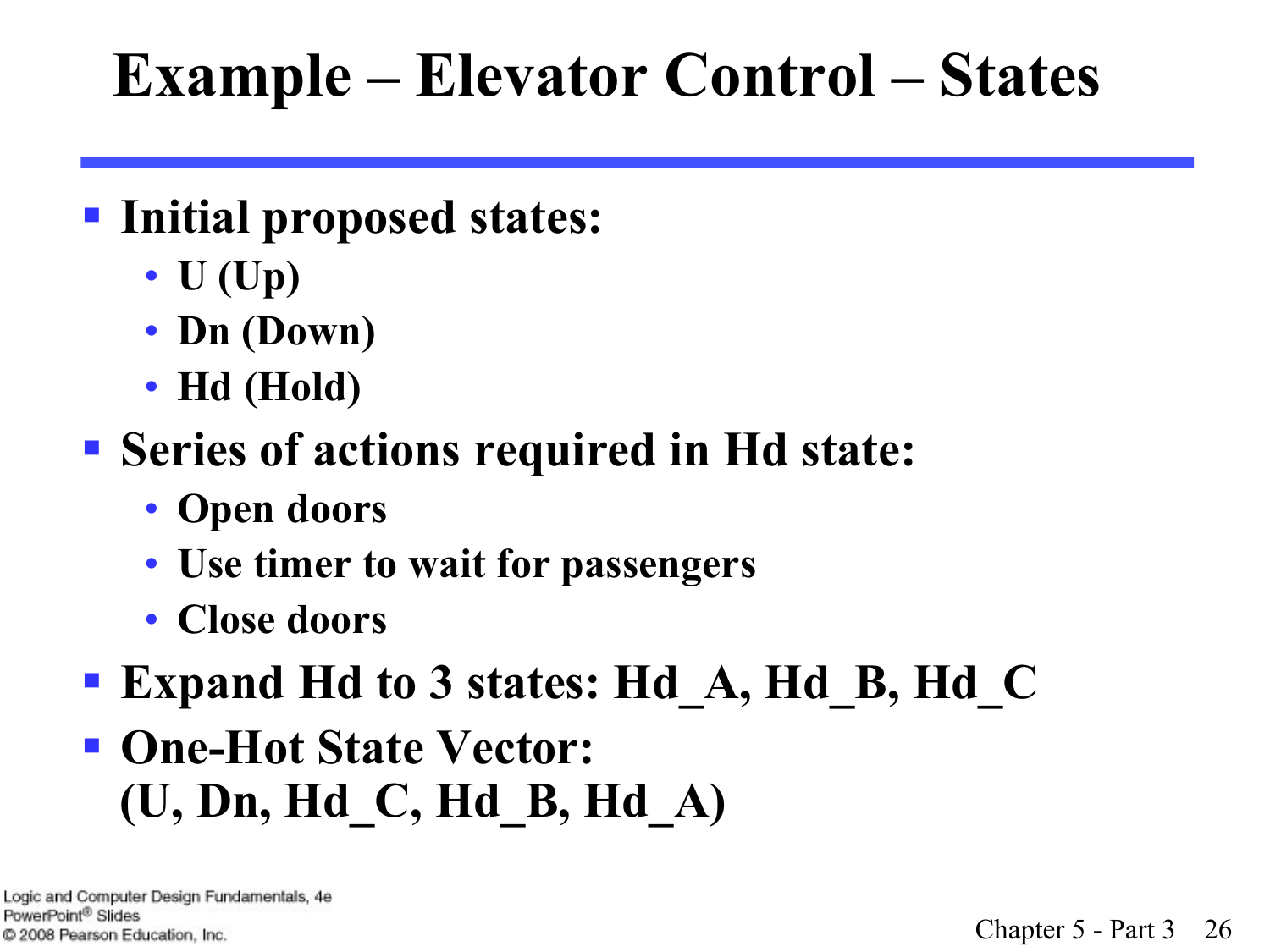# **Example – Elevator Control – States**

#### § **Initial proposed states:**

- **U (Up)**
- **Dn (Down)**
- **Hd (Hold)**

#### § **Series of actions required in Hd state:**

- **Open doors**
- **Use timer to wait for passengers**
- **Close doors**
- § **Expand Hd to 3 states: Hd\_A, Hd\_B, Hd\_C**
- § **One-Hot State Vector: (U, Dn, Hd\_C, Hd\_B, Hd\_A)**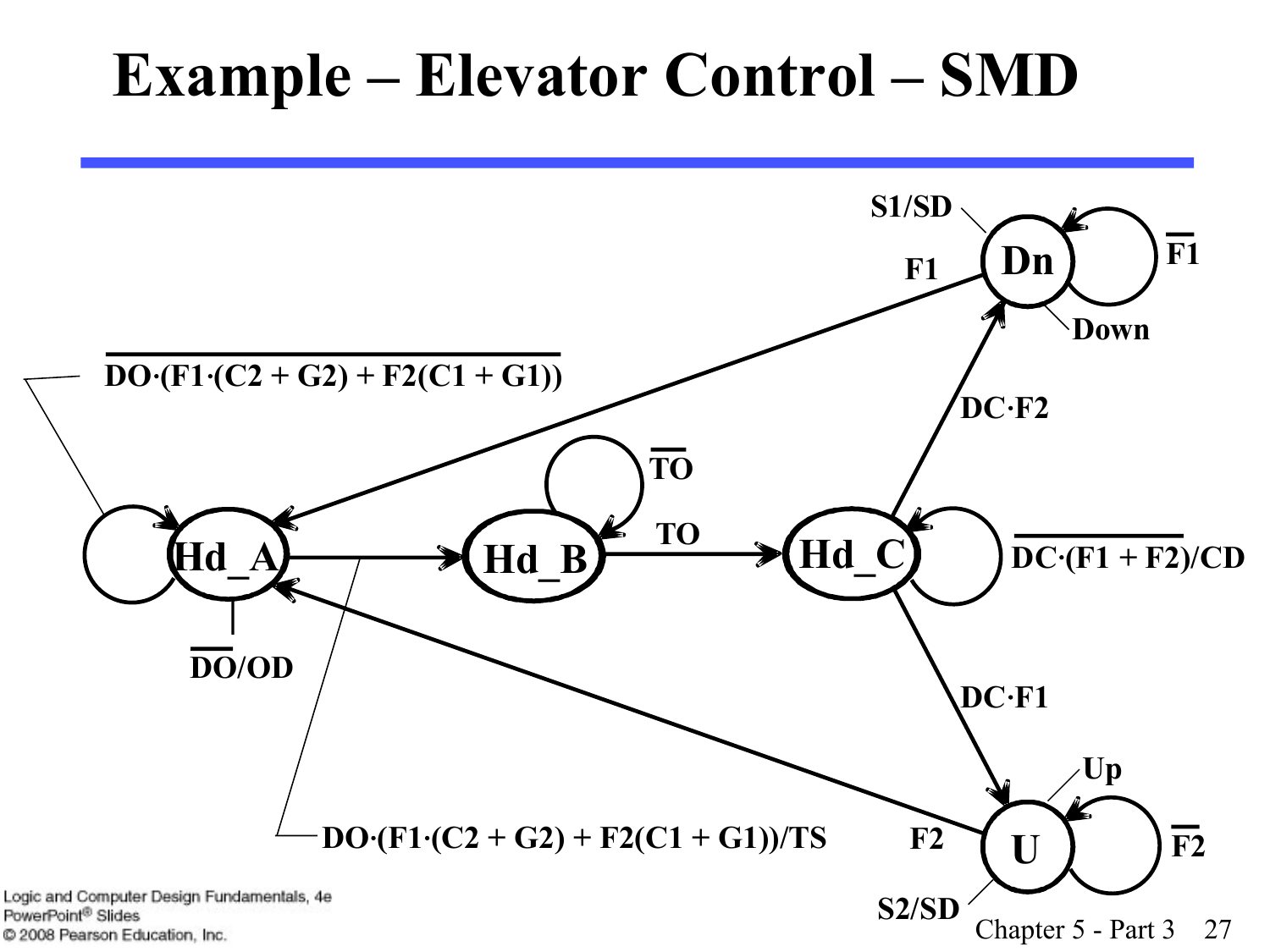#### **Example – Elevator Control – SMD**

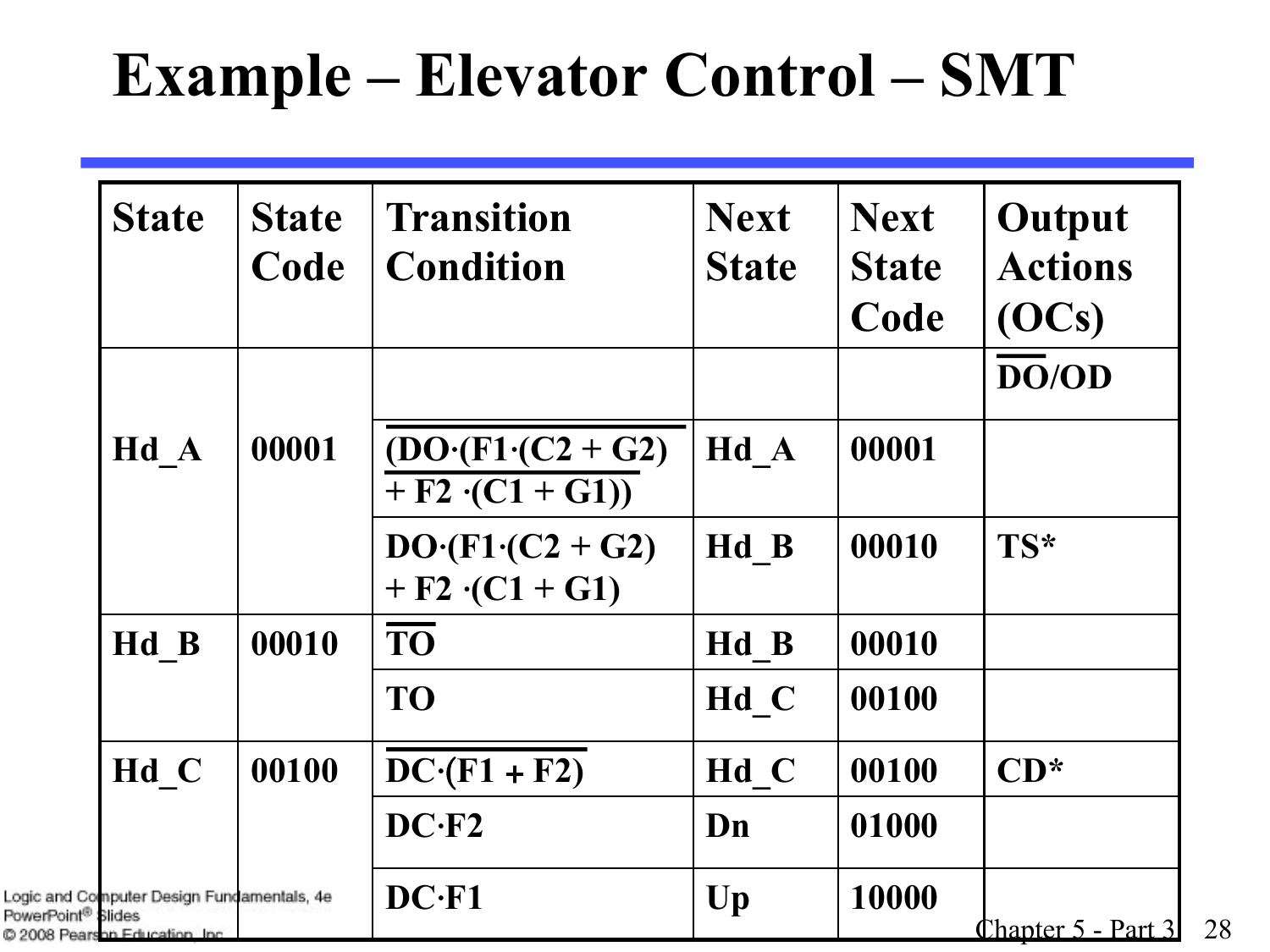#### **Example – Elevator Control – SMT**

| <b>State</b>                                                                                                  | <b>State</b> | <b>Transition</b>                              | <b>Next</b>            | <b>Next</b>          | Output                  |
|---------------------------------------------------------------------------------------------------------------|--------------|------------------------------------------------|------------------------|----------------------|-------------------------|
|                                                                                                               | Code         | <b>Condition</b>                               | <b>State</b>           | <b>State</b><br>Code | <b>Actions</b><br>(OCs) |
|                                                                                                               |              |                                                |                        |                      | DO/OD                   |
| Hd A                                                                                                          | 00001        | $(DO (F1 (C2 + G2))$<br>$+ F2 \cdot (C1 + G1)$ | Hd A                   | 00001                |                         |
|                                                                                                               |              | $DO (F1 (C2 + G2))$<br>+ $F2 \cdot (C1 + G1)$  | Hd B                   | 00010                | TS*                     |
| Hd B                                                                                                          | 00010        | <b>TO</b>                                      | Hd B                   | 00010                |                         |
|                                                                                                               |              | <b>TO</b>                                      | Hd C                   | 00100                |                         |
| Hd C                                                                                                          | 00100        | $DC (F1 + F2)$                                 | Hd C                   | 00100                | $CD^*$                  |
|                                                                                                               |              | $DC-F2$                                        | Dn                     | 01000                |                         |
| Logic and Computer Design Fundamentals, 4e<br>PowerPoint <sup>®</sup> Slides<br>© 2008 Pearson Education Inc. |              | $DC$ · $F1$                                    | $\mathbf{U}\mathbf{p}$ | 10000                | Chapter 5 - Part 3      |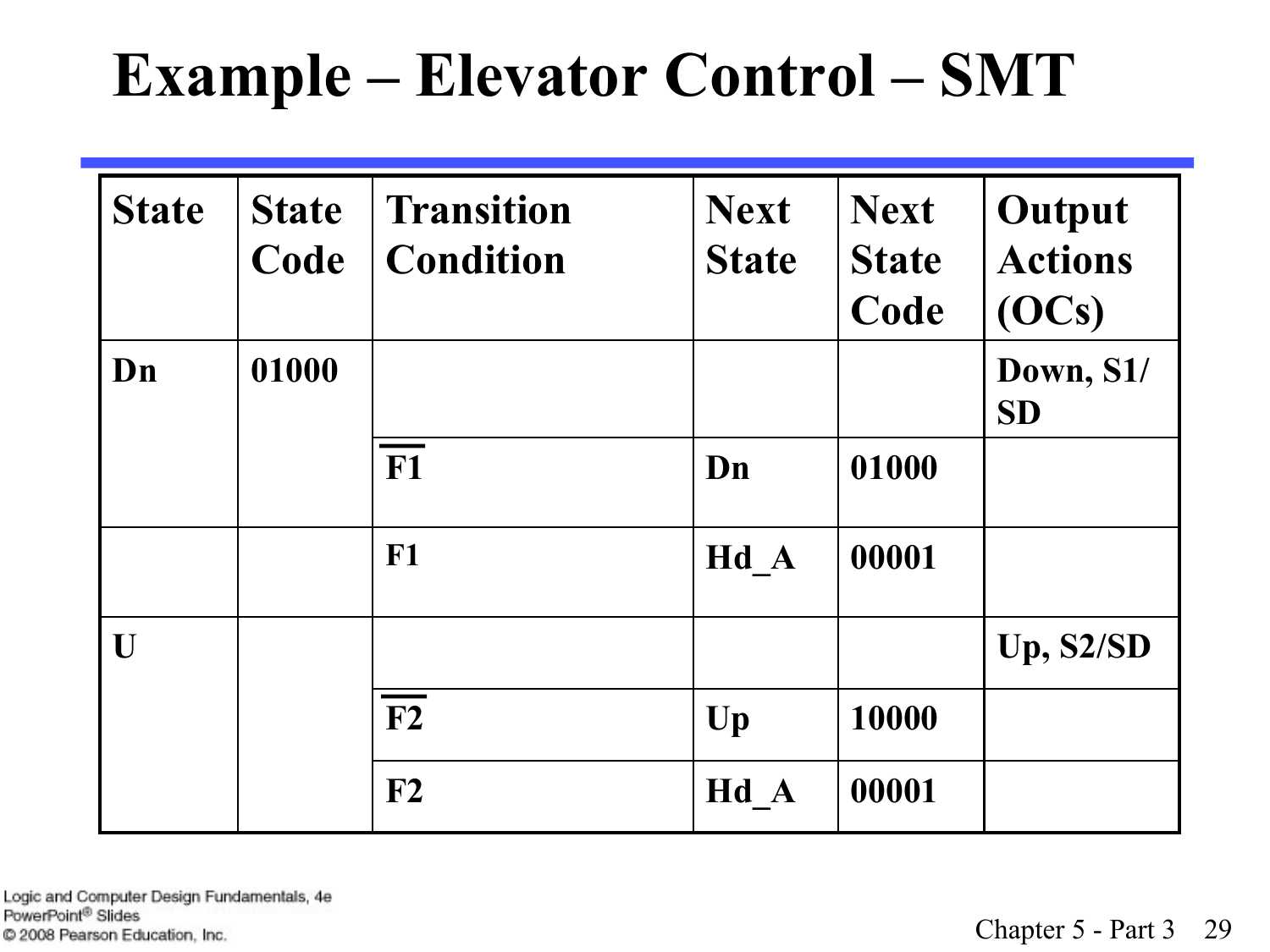### **Example – Elevator Control – SMT**

| <b>State</b> | <b>State</b><br>Code | <b>Transition</b><br><b>Condition</b> | <b>Next</b><br><b>State</b> | <b>Next</b><br><b>State</b><br>Code | Output<br><b>Actions</b><br>(OCs) |
|--------------|----------------------|---------------------------------------|-----------------------------|-------------------------------------|-----------------------------------|
| Dn           | 01000                |                                       |                             |                                     | Down, S1/<br><b>SD</b>            |
|              |                      | F <sub>1</sub>                        | Dn                          | 01000                               |                                   |
|              |                      | $F1$                                  | $Hd_A$                      | 00001                               |                                   |
| U            |                      |                                       |                             |                                     | Up, S2/SD                         |
|              |                      | F2                                    | Up                          | 10000                               |                                   |
|              |                      | $\mathbf{F2}$                         | Hd A                        | 00001                               |                                   |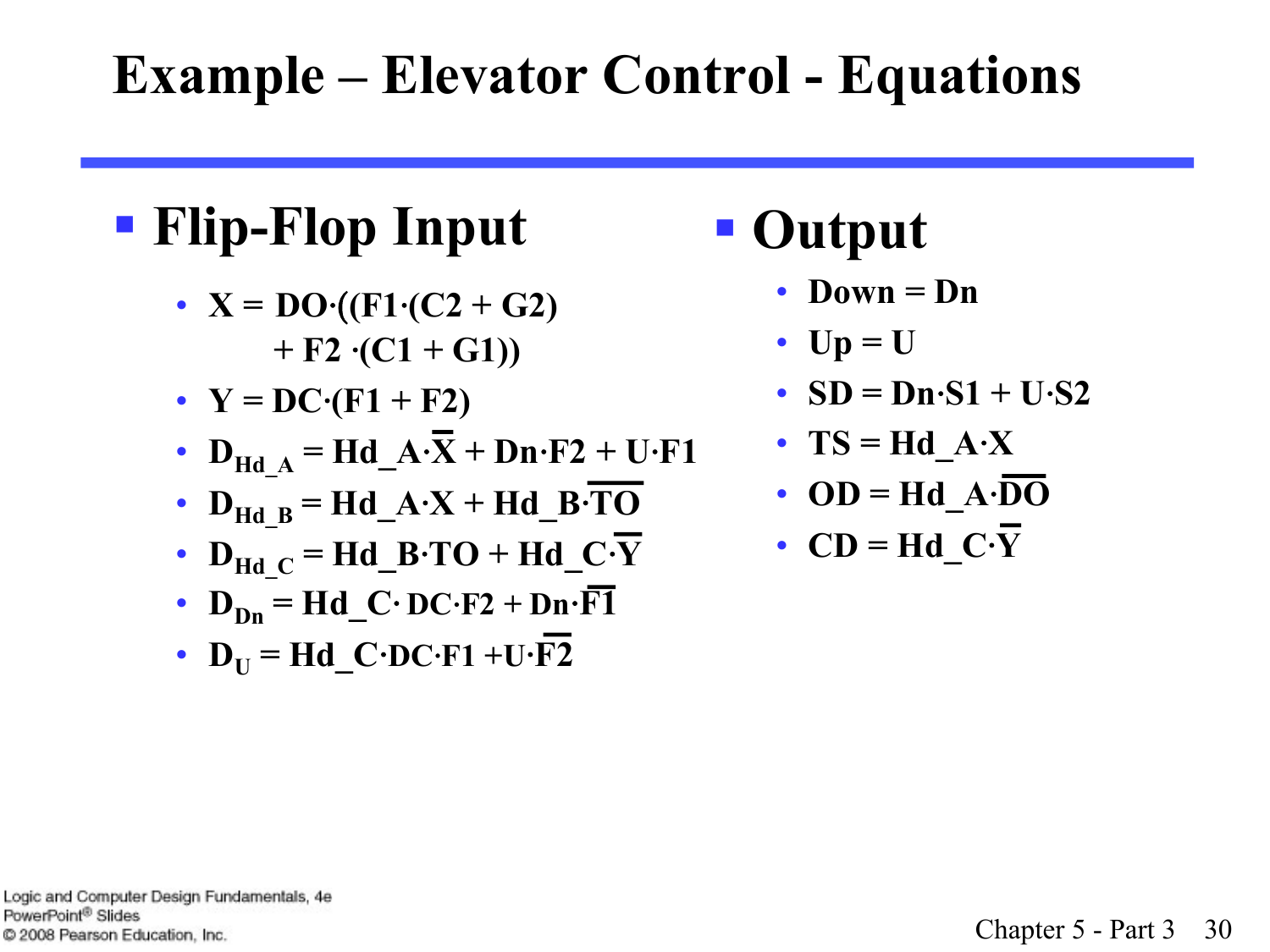#### **Example – Elevator Control - Equations**

#### § **Flip-Flop Input**

- $X = DO \cdot ((F1 \cdot (C2 + G2))$  $+ F2 \cdot (C1 + G1)$
- $Y = DC \cdot (F1 + F2)$
- $D_{\text{Hd A}} = \text{Hd_A}\cdot\overline{X} + \text{Dn·F2} + \text{U·F1}$
- $D_{\text{Hd}_B} = \text{Hd}_A \cdot X + \text{Hd}_B \cdot \overline{\text{TO}}$
- $D_{\text{Hd}}$ <sub>C</sub> = Hd\_B⋅TO + Hd\_C⋅Y
- $D_{\text{Dn}} = Hd$  **C**⋅  $DC \cdot F2 + Dn \cdot \overline{F1}$
- $D_{\text{U}} = \text{Hd} \cdot \text{C} \cdot \text{D} \text{C} \cdot \text{F1} + \text{U} \cdot \overline{\text{F2}}$

#### § **Output**

- **Down = Dn**
- **Up = U**
- **SD = Dn**⋅**S1 + U**⋅**S2**
- **TS = Hd\_A**⋅**X**
- **OD** = Hd  $A \cdot \overline{DO}$
- **CD = Hd\_C**⋅**Y**